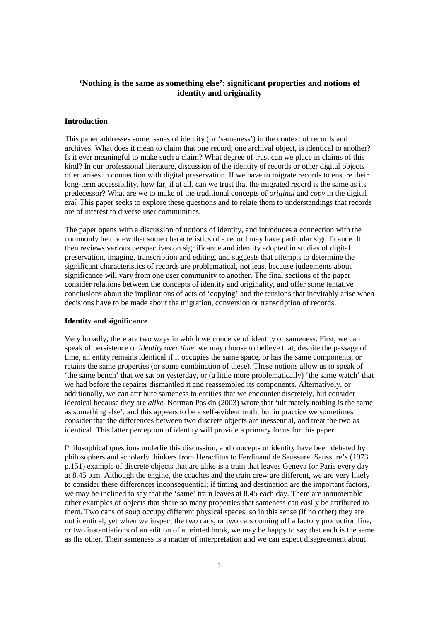# **'Nothing is the same as something else': significant properties and notions of identity and originality**

# **Introduction**

This paper addresses some issues of identity (or 'sameness') in the context of records and archives. What does it mean to claim that one record, one archival object, is identical to another? Is it ever meaningful to make such a claim? What degree of trust can we place in claims of this kind? In our professional literature, discussion of the identity of records or other digital objects often arises in connection with digital preservation. If we have to migrate records to ensure their long-term accessibility, how far, if at all, can we trust that the migrated record is the same as its predecessor? What are we to make of the traditional concepts of *original* and *copy* in the digital era? This paper seeks to explore these questions and to relate them to understandings that records are of interest to diverse user communities.

The paper opens with a discussion of notions of identity, and introduces a connection with the commonly held view that some characteristics of a record may have particular significance. It then reviews various perspectives on significance and identity adopted in studies of digital preservation, imaging, transcription and editing, and suggests that attempts to determine the significant characteristics of records are problematical, not least because judgements about significance will vary from one user community to another. The final sections of the paper consider relations between the concepts of identity and originality, and offer some tentative conclusions about the implications of acts of 'copying' and the tensions that inevitably arise when decisions have to be made about the migration, conversion or transcription of records.

#### **Identity and significance**

Very broadly, there are two ways in which we conceive of identity or sameness. First, we can speak of persistence or *identity over time*: we may choose to believe that, despite the passage of time, an entity remains identical if it occupies the same space, or has the same components, or retains the same properties (or some combination of these). These notions allow us to speak of 'the same bench' that we sat on yesterday, or (a little more problematically) 'the same watch' that we had before the repairer dismantled it and reassembled its components. Alternatively, or additionally, we can attribute sameness to entities that we encounter discretely, but consider identical because they are *alike*. Norman Paskin (2003) wrote that 'ultimately nothing is the same as something else', and this appears to be a self-evident truth; but in practice we sometimes consider that the differences between two discrete objects are inessential, and treat the two as identical. This latter perception of identity will provide a primary focus for this paper.

Philosophical questions underlie this discussion, and concepts of identity have been debated by philosophers and scholarly thinkers from Heraclitus to Ferdinand de Saussure. Saussure's (1973 p.151) example of discrete objects that are alike is a train that leaves Geneva for Paris every day at 8.45 p.m. Although the engine, the coaches and the train crew are different, we are very likely to consider these differences inconsequential; if timing and destination are the important factors, we may be inclined to say that the 'same' train leaves at 8.45 each day. There are innumerable other examples of objects that share so many properties that sameness can easily be attributed to them. Two cans of soup occupy different physical spaces, so in this sense (if no other) they are not identical; yet when we inspect the two cans, or two cars coming off a factory production line, or two instantiations of an edition of a printed book, we may be happy to say that each is the same as the other. Their sameness is a matter of interpretation and we can expect disagreement about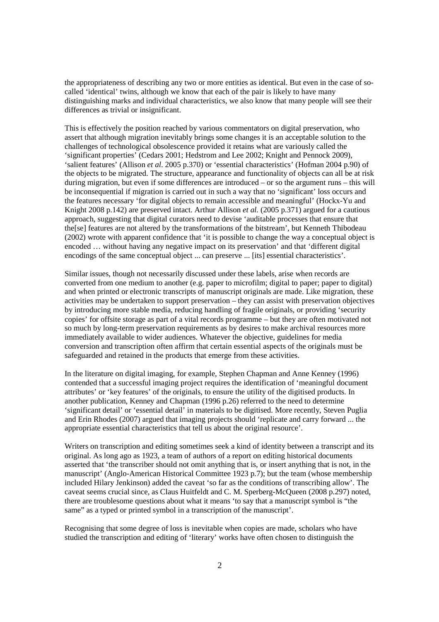the appropriateness of describing any two or more entities as identical. But even in the case of socalled 'identical' twins, although we know that each of the pair is likely to have many distinguishing marks and individual characteristics, we also know that many people will see their differences as trivial or insignificant.

This is effectively the position reached by various commentators on digital preservation, who assert that although migration inevitably brings some changes it is an acceptable solution to the challenges of technological obsolescence provided it retains what are variously called the 'significant properties' (Cedars 2001; Hedstrom and Lee 2002; Knight and Pennock 2009), 'salient features' (Allison *et al*. 2005 p.370) or 'essential characteristics' (Hofman 2004 p.90) of the objects to be migrated. The structure, appearance and functionality of objects can all be at risk during migration, but even if some differences are introduced – or so the argument runs – this will be inconsequential if migration is carried out in such a way that no 'significant' loss occurs and the features necessary 'for digital objects to remain accessible and meaningful' (Hockx-Yu and Knight 2008 p.142) are preserved intact. Arthur Allison *et al.* (2005 p.371) argued for a cautious approach, suggesting that digital curators need to devise 'auditable processes that ensure that the[se] features are not altered by the transformations of the bitstream', but Kenneth Thibodeau (2002) wrote with apparent confidence that 'it is possible to change the way a conceptual object is encoded … without having any negative impact on its preservation' and that 'different digital encodings of the same conceptual object ... can preserve ... [its] essential characteristics'.

Similar issues, though not necessarily discussed under these labels, arise when records are converted from one medium to another (e.g. paper to microfilm; digital to paper; paper to digital) and when printed or electronic transcripts of manuscript originals are made. Like migration, these activities may be undertaken to support preservation – they can assist with preservation objectives by introducing more stable media, reducing handling of fragile originals, or providing 'security copies' for offsite storage as part of a vital records programme – but they are often motivated not so much by long-term preservation requirements as by desires to make archival resources more immediately available to wider audiences. Whatever the objective, guidelines for media conversion and transcription often affirm that certain essential aspects of the originals must be safeguarded and retained in the products that emerge from these activities.

In the literature on digital imaging, for example, Stephen Chapman and Anne Kenney (1996) contended that a successful imaging project requires the identification of 'meaningful document attributes' or 'key features' of the originals, to ensure the utility of the digitised products. In another publication, Kenney and Chapman (1996 p.26) referred to the need to determine 'significant detail' or 'essential detail' in materials to be digitised. More recently, Steven Puglia and Erin Rhodes (2007) argued that imaging projects should 'replicate and carry forward ... the appropriate essential characteristics that tell us about the original resource'.

Writers on transcription and editing sometimes seek a kind of identity between a transcript and its original. As long ago as 1923, a team of authors of a report on editing historical documents asserted that 'the transcriber should not omit anything that is, or insert anything that is not, in the manuscript' (Anglo-American Historical Committee 1923 p.7); but the team (whose membership included Hilary Jenkinson) added the caveat 'so far as the conditions of transcribing allow'. The caveat seems crucial since, as Claus Huitfeldt and C. M. Sperberg-McQueen (2008 p.297) noted, there are troublesome questions about what it means 'to say that a manuscript symbol is "the same" as a typed or printed symbol in a transcription of the manuscript'.

Recognising that some degree of loss is inevitable when copies are made, scholars who have studied the transcription and editing of 'literary' works have often chosen to distinguish the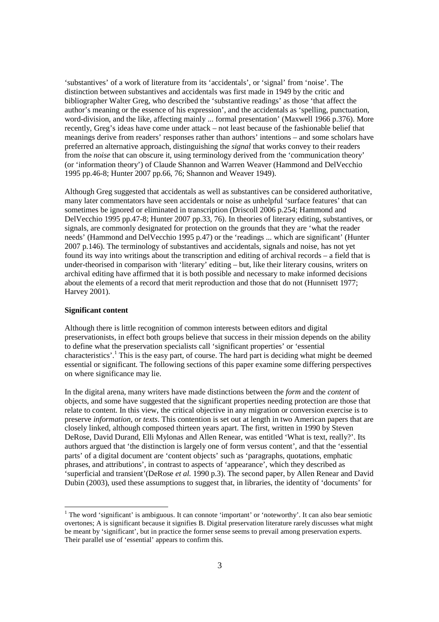'substantives' of a work of literature from its 'accidentals', or 'signal' from 'noise'. The distinction between substantives and accidentals was first made in 1949 by the critic and bibliographer Walter Greg, who described the 'substantive readings' as those 'that affect the author's meaning or the essence of his expression', and the accidentals as 'spelling, punctuation, word-division, and the like, affecting mainly ... formal presentation' (Maxwell 1966 p.376). More recently, Greg's ideas have come under attack – not least because of the fashionable belief that meanings derive from readers' responses rather than authors' intentions – and some scholars have preferred an alternative approach, distinguishing the *signal* that works convey to their readers from the *noise* that can obscure it, using terminology derived from the 'communication theory' (or 'information theory') of Claude Shannon and Warren Weaver (Hammond and DelVecchio 1995 pp.46-8; Hunter 2007 pp.66, 76; Shannon and Weaver 1949).

Although Greg suggested that accidentals as well as substantives can be considered authoritative, many later commentators have seen accidentals or noise as unhelpful 'surface features' that can sometimes be ignored or eliminated in transcription (Driscoll 2006 p.254; Hammond and DelVecchio 1995 pp.47-8; Hunter 2007 pp.33, 76). In theories of literary editing, substantives, or signals, are commonly designated for protection on the grounds that they are 'what the reader needs' (Hammond and DelVecchio 1995 p.47) or the 'readings ... which are significant' (Hunter 2007 p.146). The terminology of substantives and accidentals, signals and noise, has not yet found its way into writings about the transcription and editing of archival records – a field that is under-theorised in comparison with 'literary' editing – but, like their literary cousins, writers on archival editing have affirmed that it is both possible and necessary to make informed decisions about the elements of a record that merit reproduction and those that do not (Hunnisett 1977; Harvey 2001).

## **Significant content**

Although there is little recognition of common interests between editors and digital preservationists, in effect both groups believe that success in their mission depends on the ability to define what the preservation specialists call 'significant properties' or 'essential characteristics'. <sup>1</sup> This is the easy part, of course. The hard part is deciding what might be deemed essential or significant. The following sections of this paper examine some differing perspectives on where significance may lie.

In the digital arena, many writers have made distinctions between the *form* and the *content* of objects, and some have suggested that the significant properties needing protection are those that relate to content. In this view, the critical objective in any migration or conversion exercise is to preserve *information*, or *texts*. This contention is set out at length in two American papers that are closely linked, although composed thirteen years apart. The first, written in 1990 by Steven DeRose, David Durand, Elli Mylonas and Allen Renear, was entitled 'What is text, really?'. Its authors argued that 'the distinction is largely one of form versus content', and that the 'essential parts' of a digital document are 'content objects' such as 'paragraphs, quotations, emphatic phrases, and attributions', in contrast to aspects of 'appearance', which they described as 'superficial and transient'(DeRose *et al.* 1990 p.3). The second paper, by Allen Renear and David Dubin (2003), used these assumptions to suggest that, in libraries, the identity of 'documents' for

<sup>&</sup>lt;sup>1</sup> The word 'significant' is ambiguous. It can connote 'important' or 'noteworthy'. It can also bear semiotic overtones; A is significant because it signifies B. Digital preservation literature rarely discusses what might be meant by 'significant', but in practice the former sense seems to prevail among preservation experts. Their parallel use of 'essential' appears to confirm this.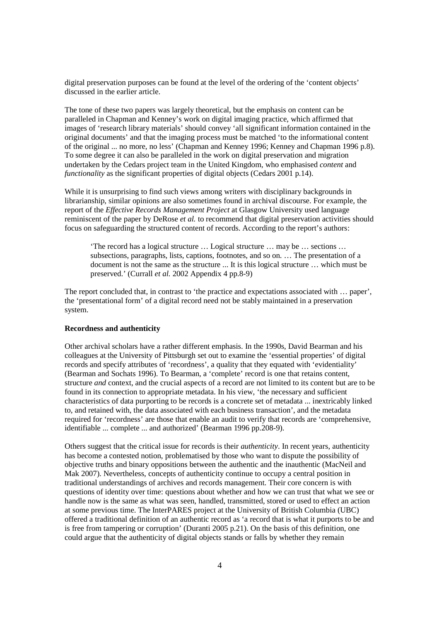digital preservation purposes can be found at the level of the ordering of the 'content objects' discussed in the earlier article.

The tone of these two papers was largely theoretical, but the emphasis on content can be paralleled in Chapman and Kenney's work on digital imaging practice, which affirmed that images of 'research library materials' should convey 'all significant information contained in the original documents' and that the imaging process must be matched 'to the informational content of the original ... no more, no less' (Chapman and Kenney 1996; Kenney and Chapman 1996 p.8). To some degree it can also be paralleled in the work on digital preservation and migration undertaken by the Cedars project team in the United Kingdom, who emphasised *content* and *functionality* as the significant properties of digital objects (Cedars 2001 p.14).

While it is unsurprising to find such views among writers with disciplinary backgrounds in librarianship, similar opinions are also sometimes found in archival discourse. For example, the report of the *Effective Records Management Project* at Glasgow University used language reminiscent of the paper by DeRose *et al.* to recommend that digital preservation activities should focus on safeguarding the structured content of records. According to the report's authors:

'The record has a logical structure … Logical structure … may be … sections … subsections, paragraphs, lists, captions, footnotes, and so on. … The presentation of a document is not the same as the structure ... It is this logical structure … which must be preserved.' (Currall *et al.* 2002 Appendix 4 pp.8-9)

The report concluded that, in contrast to 'the practice and expectations associated with … paper', the 'presentational form' of a digital record need not be stably maintained in a preservation system.

# **Recordness and authenticity**

Other archival scholars have a rather different emphasis. In the 1990s, David Bearman and his colleagues at the University of Pittsburgh set out to examine the 'essential properties' of digital records and specify attributes of 'recordness', a quality that they equated with 'evidentiality' (Bearman and Sochats 1996). To Bearman, a 'complete' record is one that retains content, structure *and* context, and the crucial aspects of a record are not limited to its content but are to be found in its connection to appropriate metadata. In his view, 'the necessary and sufficient characteristics of data purporting to be records is a concrete set of metadata ... inextricably linked to, and retained with, the data associated with each business transaction', and the metadata required for 'recordness' are those that enable an audit to verify that records are 'comprehensive, identifiable ... complete ... and authorized' (Bearman 1996 pp.208-9).

Others suggest that the critical issue for records is their *authenticity*. In recent years, authenticity has become a contested notion, problematised by those who want to dispute the possibility of objective truths and binary oppositions between the authentic and the inauthentic (MacNeil and Mak 2007). Nevertheless, concepts of authenticity continue to occupy a central position in traditional understandings of archives and records management. Their core concern is with questions of identity over time: questions about whether and how we can trust that what we see or handle now is the same as what was seen, handled, transmitted, stored or used to effect an action at some previous time. The InterPARES project at the University of British Columbia (UBC) offered a traditional definition of an authentic record as 'a record that is what it purports to be and is free from tampering or corruption' (Duranti 2005 p.21). On the basis of this definition, one could argue that the authenticity of digital objects stands or falls by whether they remain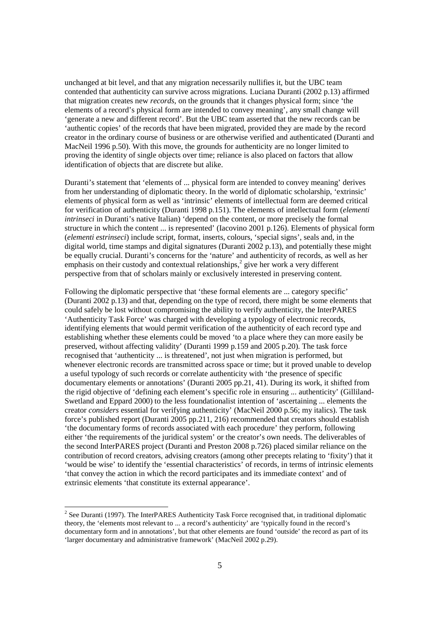unchanged at bit level, and that any migration necessarily nullifies it, but the UBC team contended that authenticity can survive across migrations. Luciana Duranti (2002 p.13) affirmed that migration creates new *records*, on the grounds that it changes physical form; since 'the elements of a record's physical form are intended to convey meaning', any small change will 'generate a new and different record'. But the UBC team asserted that the new records can be 'authentic copies' of the records that have been migrated, provided they are made by the record creator in the ordinary course of business or are otherwise verified and authenticated (Duranti and MacNeil 1996 p.50). With this move, the grounds for authenticity are no longer limited to proving the identity of single objects over time; reliance is also placed on factors that allow identification of objects that are discrete but alike.

Duranti's statement that 'elements of ... physical form are intended to convey meaning' derives from her understanding of diplomatic theory. In the world of diplomatic scholarship, 'extrinsic' elements of physical form as well as 'intrinsic' elements of intellectual form are deemed critical for verification of authenticity (Duranti 1998 p.151). The elements of intellectual form (*elementi intrinseci* in Duranti's native Italian) 'depend on the content, or more precisely the formal structure in which the content ... is represented' (Iacovino 2001 p.126). Elements of physical form (*elementi estrinseci*) include script, format, inserts, colours, 'special signs', seals and, in the digital world, time stamps and digital signatures (Duranti 2002 p.13), and potentially these might be equally crucial. Duranti's concerns for the 'nature' and authenticity of records, as well as her emphasis on their custody and contextual relationships, 2 give her work a very different perspective from that of scholars mainly or exclusively interested in preserving content.

Following the diplomatic perspective that 'these formal elements are ... category specific' (Duranti 2002 p.13) and that, depending on the type of record, there might be some elements that could safely be lost without compromising the ability to verify authenticity, the InterPARES 'Authenticity Task Force' was charged with developing a typology of electronic records, identifying elements that would permit verification of the authenticity of each record type and establishing whether these elements could be moved 'to a place where they can more easily be preserved, without affecting validity' (Duranti 1999 p.159 and 2005 p.20). The task force recognised that 'authenticity ... is threatened', not just when migration is performed, but whenever electronic records are transmitted across space or time; but it proved unable to develop a useful typology of such records or correlate authenticity with 'the presence of specific documentary elements or annotations' (Duranti 2005 pp.21, 41). During its work, it shifted from the rigid objective of 'defining each element's specific role in ensuring ... authenticity' (Gilliland-Swetland and Eppard 2000) to the less foundationalist intention of 'ascertaining ... elements the creator *considers* essential for verifying authenticity' (MacNeil 2000 p.56; my italics). The task force's published report (Duranti 2005 pp.211, 216) recommended that creators should establish 'the documentary forms of records associated with each procedure' they perform, following either 'the requirements of the juridical system' or the creator's own needs. The deliverables of the second InterPARES project (Duranti and Preston 2008 p.726) placed similar reliance on the contribution of record creators, advising creators (among other precepts relating to 'fixity') that it 'would be wise' to identify the 'essential characteristics' of records, in terms of intrinsic elements 'that convey the action in which the record participates and its immediate context' and of extrinsic elements 'that constitute its external appearance'.

<sup>&</sup>lt;sup>2</sup> See Duranti (1997). The InterPARES Authenticity Task Force recognised that, in traditional diplomatic theory, the 'elements most relevant to ... a record's authenticity' are 'typically found in the record's documentary form and in annotations', but that other elements are found 'outside' the record as part of its 'larger documentary and administrative framework' (MacNeil 2002 p.29).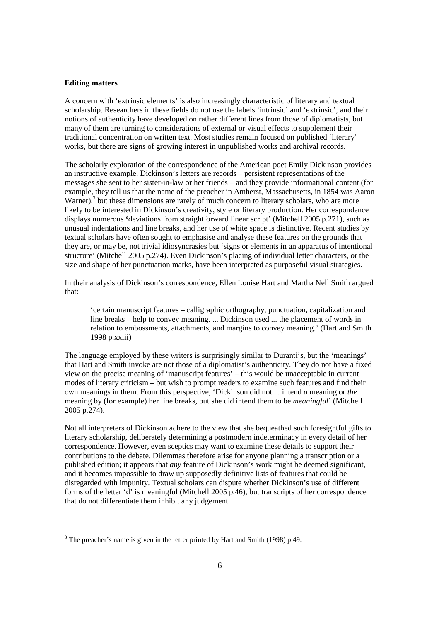#### **Editing matters**

A concern with 'extrinsic elements' is also increasingly characteristic of literary and textual scholarship. Researchers in these fields do not use the labels 'intrinsic' and 'extrinsic', and their notions of authenticity have developed on rather different lines from those of diplomatists, but many of them are turning to considerations of external or visual effects to supplement their traditional concentration on written text. Most studies remain focused on published 'literary' works, but there are signs of growing interest in unpublished works and archival records.

The scholarly exploration of the correspondence of the American poet Emily Dickinson provides an instructive example. Dickinson's letters are records – persistent representations of the messages she sent to her sister-in-law or her friends – and they provide informational content (for example, they tell us that the name of the preacher in Amherst, Massachusetts, in 1854 was Aaron Warner),<sup>3</sup> but these dimensions are rarely of much concern to literary scholars, who are more likely to be interested in Dickinson's creativity, style or literary production. Her correspondence displays numerous **'**deviations from straightforward linear script' (Mitchell 2005 p.271), such as unusual indentations and line breaks, and her use of white space is distinctive. Recent studies by textual scholars have often sought to emphasise and analyse these features on the grounds that they are, or may be, not trivial idiosyncrasies but 'signs or elements in an apparatus of intentional structure' (Mitchell 2005 p.274). Even Dickinson's placing of individual letter characters, or the size and shape of her punctuation marks, have been interpreted as purposeful visual strategies.

In their analysis of Dickinson's correspondence, Ellen Louise Hart and Martha Nell Smith argued that:

'certain manuscript features – calligraphic orthography, punctuation, capitalization and line breaks – help to convey meaning. ... Dickinson used ... the placement of words in relation to embossments, attachments, and margins to convey meaning.' (Hart and Smith 1998 p.xxiii)

The language employed by these writers is surprisingly similar to Duranti's, but the 'meanings' that Hart and Smith invoke are not those of a diplomatist's authenticity. They do not have a fixed view on the precise meaning of 'manuscript features' – this would be unacceptable in current modes of literary criticism – but wish to prompt readers to examine such features and find their own meanings in them. From this perspective, 'Dickinson did not ... intend *a* meaning or *the* meaning by (for example) her line breaks, but she did intend them to be *meaningful*' (Mitchell 2005 p.274).

Not all interpreters of Dickinson adhere to the view that she bequeathed such foresightful gifts to literary scholarship, deliberately determining a postmodern indeterminacy in every detail of her correspondence. However, even sceptics may want to examine these details to support their contributions to the debate. Dilemmas therefore arise for anyone planning a transcription or a published edition; it appears that *any* feature of Dickinson's work might be deemed significant, and it becomes impossible to draw up supposedly definitive lists of features that could be disregarded with impunity. Textual scholars can dispute whether Dickinson's use of different forms of the letter 'd' is meaningful (Mitchell 2005 p.46), but transcripts of her correspondence that do not differentiate them inhibit any judgement.

<sup>&</sup>lt;sup>3</sup> The preacher's name is given in the letter printed by Hart and Smith (1998) p.49.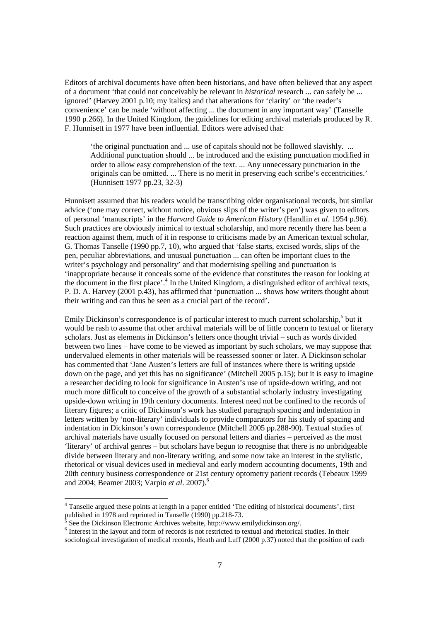Editors of archival documents have often been historians, and have often believed that any aspect of a document 'that could not conceivably be relevant in *historical* research ... can safely be ... ignored' (Harvey 2001 p.10; my italics) and that alterations for 'clarity' or 'the reader's convenience' can be made 'without affecting ... the document in any important way' (Tanselle 1990 p.266). In the United Kingdom, the guidelines for editing archival materials produced by R. F. Hunnisett in 1977 have been influential. Editors were advised that:

'the original punctuation and ... use of capitals should not be followed slavishly. ... Additional punctuation should ... be introduced and the existing punctuation modified in order to allow easy comprehension of the text. ... Any unnecessary punctuation in the originals can be omitted. ... There is no merit in preserving each scribe's eccentricities.' (Hunnisett 1977 pp.23, 32-3)

Hunnisett assumed that his readers would be transcribing older organisational records, but similar advice ('one may correct, without notice, obvious slips of the writer's pen') was given to editors of personal 'manuscripts' in the *Harvard Guide to American History* (Handlin *et al*. 1954 p.96). Such practices are obviously inimical to textual scholarship, and more recently there has been a reaction against them, much of it in response to criticisms made by an American textual scholar, G. Thomas Tanselle (1990 pp.7, 10), who argued that 'false starts, excised words, slips of the pen, peculiar abbreviations, and unusual punctuation ... can often be important clues to the writer's psychology and personality' and that modernising spelling and punctuation is 'inappropriate because it conceals some of the evidence that constitutes the reason for looking at the document in the first place'.<sup>4</sup> In the United Kingdom, a distinguished editor of archival texts, P. D. A. Harvey (2001 p.43), has affirmed that 'punctuation ... shows how writers thought about their writing and can thus be seen as a crucial part of the record'.

Emily Dickinson's correspondence is of particular interest to much current scholarship,<sup>5</sup> but it would be rash to assume that other archival materials will be of little concern to textual or literary scholars. Just as elements in Dickinson's letters once thought trivial – such as words divided between two lines – have come to be viewed as important by such scholars, we may suppose that undervalued elements in other materials will be reassessed sooner or later. A Dickinson scholar has commented that 'Jane Austen's letters are full of instances where there is writing upside down on the page, and yet this has no significance' (Mitchell 2005 p.15); but it is easy to imagine a researcher deciding to look for significance in Austen's use of upside-down writing, and not much more difficult to conceive of the growth of a substantial scholarly industry investigating upside-down writing in 19th century documents. Interest need not be confined to the records of literary figures; a critic of Dickinson's work has studied paragraph spacing and indentation in letters written by 'non-literary' individuals to provide comparators for his study of spacing and indentation in Dickinson's own correspondence (Mitchell 2005 pp.288-90). Textual studies of archival materials have usually focused on personal letters and diaries – perceived as the most 'literary' of archival genres – but scholars have begun to recognise that there is no unbridgeable divide between literary and non-literary writing, and some now take an interest in the stylistic, rhetorical or visual devices used in medieval and early modern accounting documents, 19th and 20th century business correspondence or 21st century optometry patient records (Tebeaux 1999 and 2004; Beamer 2003; Varpio *et al*. 2007).<sup>6</sup>

<sup>4</sup> Tanselle argued these points at length in a paper entitled 'The editing of historical documents', first published in 1978 and reprinted in Tanselle (1990) pp.218-73.

<sup>5</sup> See the Dickinson Electronic Archives website, http://www.emilydickinson.org/.

<sup>&</sup>lt;sup>6</sup> Interest in the layout and form of records is not restricted to textual and rhetorical studies. In their sociological investigation of medical records, Heath and Luff (2000 p.37) noted that the position of each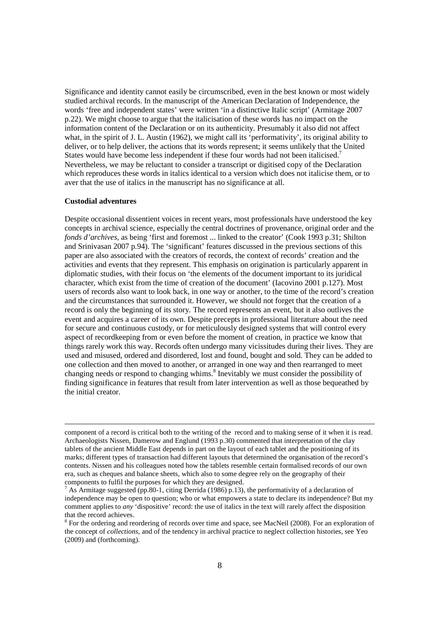Significance and identity cannot easily be circumscribed, even in the best known or most widely studied archival records. In the manuscript of the American Declaration of Independence, the words 'free and independent states' were written 'in a distinctive Italic script' (Armitage 2007 p.22). We might choose to argue that the italicisation of these words has no impact on the information content of the Declaration or on its authenticity. Presumably it also did not affect what, in the spirit of J. L. Austin (1962), we might call its 'performativity', its original ability to deliver, or to help deliver, the actions that its words represent; it seems unlikely that the United States would have become less independent if these four words had not been italicised.<sup>7</sup> Nevertheless, we may be reluctant to consider a transcript or digitised copy of the Declaration which reproduces these words in italics identical to a version which does not italicise them, or to aver that the use of italics in the manuscript has no significance at all.

### **Custodial adventures**

Despite occasional dissentient voices in recent years, most professionals have understood the key concepts in archival science, especially the central doctrines of provenance, original order and the *fonds d'archives*, as being 'first and foremost ... linked to the creator' (Cook 1993 p.31; Shilton and Srinivasan 2007 p.94). The 'significant' features discussed in the previous sections of this paper are also associated with the creators of records, the context of records' creation and the activities and events that they represent. This emphasis on origination is particularly apparent in diplomatic studies, with their focus on 'the elements of the document important to its juridical character, which exist from the time of creation of the document' (Iacovino 2001 p.127). Most users of records also want to look back, in one way or another, to the time of the record's creation and the circumstances that surrounded it. However, we should not forget that the creation of a record is only the beginning of its story. The record represents an event, but it also outlives the event and acquires a career of its own. Despite precepts in professional literature about the need for secure and continuous custody, or for meticulously designed systems that will control every aspect of recordkeeping from or even before the moment of creation, in practice we know that things rarely work this way. Records often undergo many vicissitudes during their lives. They are used and misused, ordered and disordered, lost and found, bought and sold. They can be added to one collection and then moved to another, or arranged in one way and then rearranged to meet changing needs or respond to changing whims. 8 Inevitably we must consider the possibility of finding significance in features that result from later intervention as well as those bequeathed by the initial creator.

component of a record is critical both to the writing of the record and to making sense of it when it is read. Archaeologists Nissen, Damerow and Englund (1993 p.30) commented that interpretation of the clay tablets of the ancient Middle East depends in part on the layout of each tablet and the positioning of its marks; different types of transaction had different layouts that determined the organisation of the record's contents. Nissen and his colleagues noted how the tablets resemble certain formalised records of our own era, such as cheques and balance sheets, which also to some degree rely on the geography of their components to fulfil the purposes for which they are designed.

<sup>&</sup>lt;sup>7</sup> As Armitage suggested (pp.80-1, citing Derrida (1986) p.13), the performativity of a declaration of independence may be open to question; who or what empowers a state to declare its independence? But my comment applies to *any* 'dispositive' record: the use of italics in the text will rarely affect the disposition that the record achieves.

<sup>&</sup>lt;sup>8</sup> For the ordering and reordering of records over time and space, see MacNeil (2008). For an exploration of the concept of *collections*, and of the tendency in archival practice to neglect collection histories, see Yeo (2009) and (forthcoming).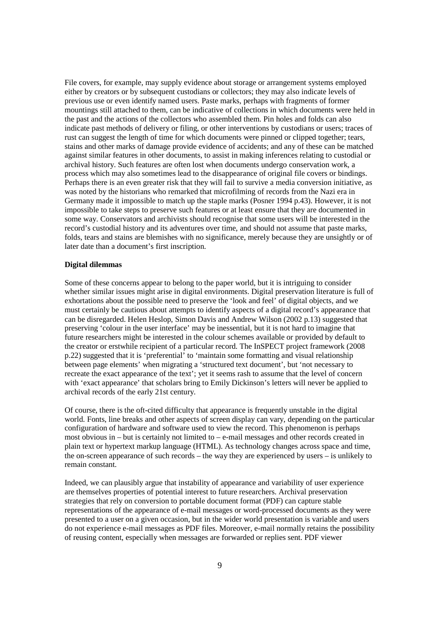File covers, for example, may supply evidence about storage or arrangement systems employed either by creators or by subsequent custodians or collectors; they may also indicate levels of previous use or even identify named users. Paste marks, perhaps with fragments of former mountings still attached to them, can be indicative of collections in which documents were held in the past and the actions of the collectors who assembled them. Pin holes and folds can also indicate past methods of delivery or filing, or other interventions by custodians or users; traces of rust can suggest the length of time for which documents were pinned or clipped together; tears, stains and other marks of damage provide evidence of accidents; and any of these can be matched against similar features in other documents, to assist in making inferences relating to custodial or archival history. Such features are often lost when documents undergo conservation work, a process which may also sometimes lead to the disappearance of original file covers or bindings. Perhaps there is an even greater risk that they will fail to survive a media conversion initiative, as was noted by the historians who remarked that microfilming of records from the Nazi era in Germany made it impossible to match up the staple marks (Posner 1994 p.43). However, it is not impossible to take steps to preserve such features or at least ensure that they are documented in some way. Conservators and archivists should recognise that some users will be interested in the record's custodial history and its adventures over time, and should not assume that paste marks, folds, tears and stains are blemishes with no significance, merely because they are unsightly or of later date than a document's first inscription.

#### **Digital dilemmas**

Some of these concerns appear to belong to the paper world, but it is intriguing to consider whether similar issues might arise in digital environments. Digital preservation literature is full of exhortations about the possible need to preserve the 'look and feel' of digital objects, and we must certainly be cautious about attempts to identify aspects of a digital record's appearance that can be disregarded. Helen Heslop, Simon Davis and Andrew Wilson (2002 p.13) suggested that preserving 'colour in the user interface' may be inessential, but it is not hard to imagine that future researchers might be interested in the colour schemes available or provided by default to the creator or erstwhile recipient of a particular record. The InSPECT project framework (2008 p.22) suggested that it is 'preferential' to 'maintain some formatting and visual relationship between page elements' when migrating a 'structured text document', but 'not necessary to recreate the exact appearance of the text'; yet it seems rash to assume that the level of concern with 'exact appearance' that scholars bring to Emily Dickinson's letters will never be applied to archival records of the early 21st century.

Of course, there is the oft-cited difficulty that appearance is frequently unstable in the digital world. Fonts, line breaks and other aspects of screen display can vary, depending on the particular configuration of hardware and software used to view the record. This phenomenon is perhaps most obvious in  $-$  but is certainly not limited to  $-$  e-mail messages and other records created in plain text or hypertext markup language (HTML). As technology changes across space and time, the on-screen appearance of such records – the way they are experienced by users – is unlikely to remain constant.

Indeed, we can plausibly argue that instability of appearance and variability of user experience are themselves properties of potential interest to future researchers. Archival preservation strategies that rely on conversion to portable document format (PDF) can capture stable representations of the appearance of e-mail messages or word-processed documents as they were presented to a user on a given occasion, but in the wider world presentation is variable and users do not experience e-mail messages as PDF files. Moreover, e-mail normally retains the possibility of reusing content, especially when messages are forwarded or replies sent. PDF viewer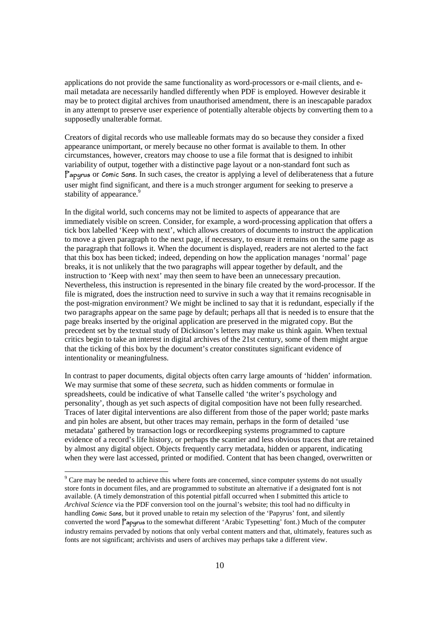applications do not provide the same functionality as word-processors or e-mail clients, and email metadata are necessarily handled differently when PDF is employed. However desirable it may be to protect digital archives from unauthorised amendment, there is an inescapable paradox in any attempt to preserve user experience of potentially alterable objects by converting them to a supposedly unalterable format.

Creators of digital records who use malleable formats may do so because they consider a fixed appearance unimportant, or merely because no other format is available to them. In other circumstances, however, creators may choose to use a file format that is designed to inhibit variability of output, together with a distinctive page layout or a non-standard font such as Papyrus or Comic Sans. In such cases, the creator is applying a level of deliberateness that a future user might find significant, and there is a much stronger argument for seeking to preserve a stability of appearance.<sup>9</sup>

In the digital world, such concerns may not be limited to aspects of appearance that are immediately visible on screen. Consider, for example, a word-processing application that offers a tick box labelled 'Keep with next', which allows creators of documents to instruct the application to move a given paragraph to the next page, if necessary, to ensure it remains on the same page as the paragraph that follows it. When the document is displayed, readers are not alerted to the fact that this box has been ticked; indeed, depending on how the application manages 'normal' page breaks, it is not unlikely that the two paragraphs will appear together by default, and the instruction to 'Keep with next' may then seem to have been an unnecessary precaution. Nevertheless, this instruction is represented in the binary file created by the word-processor. If the file is migrated, does the instruction need to survive in such a way that it remains recognisable in the post-migration environment? We might be inclined to say that it is redundant, especially if the two paragraphs appear on the same page by default; perhaps all that is needed is to ensure that the page breaks inserted by the original application are preserved in the migrated copy. But the precedent set by the textual study of Dickinson's letters may make us think again. When textual critics begin to take an interest in digital archives of the 21st century, some of them might argue that the ticking of this box by the document's creator constitutes significant evidence of intentionality or meaningfulness.

In contrast to paper documents, digital objects often carry large amounts of 'hidden' information. We may surmise that some of these *secreta*, such as hidden comments or formulae in spreadsheets, could be indicative of what Tanselle called 'the writer's psychology and personality', though as yet such aspects of digital composition have not been fully researched. Traces of later digital interventions are also different from those of the paper world; paste marks and pin holes are absent, but other traces may remain, perhaps in the form of detailed 'use metadata' gathered by transaction logs or recordkeeping systems programmed to capture evidence of a record's life history, or perhaps the scantier and less obvious traces that are retained by almost any digital object. Objects frequently carry metadata, hidden or apparent, indicating when they were last accessed, printed or modified. Content that has been changed, overwritten or

<sup>&</sup>lt;sup>9</sup> Care may be needed to achieve this where fonts are concerned, since computer systems do not usually store fonts in document files, and are programmed to substitute an alternative if a designated font is not available. (A timely demonstration of this potential pitfall occurred when I submitted this article to *Archival Science* via the PDF conversion tool on the journal's website; this tool had no difficulty in handling Comic Sans, but it proved unable to retain my selection of the 'Papyrus' font, and silently converted the word Papyrus to the somewhat different 'Arabic Typesetting' font.) Much of the computer industry remains pervaded by notions that only verbal content matters and that, ultimately, features such as fonts are not significant; archivists and users of archives may perhaps take a different view.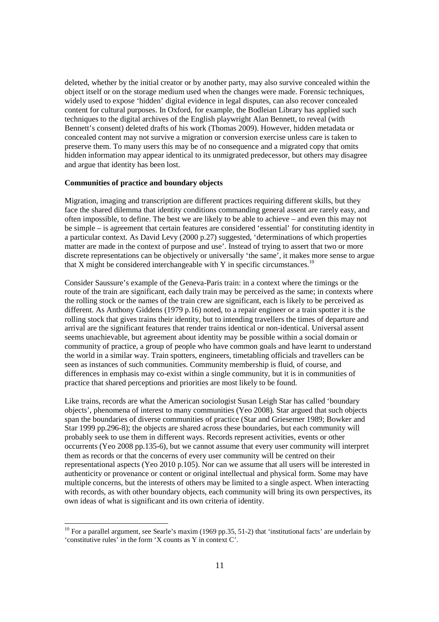deleted, whether by the initial creator or by another party, may also survive concealed within the object itself or on the storage medium used when the changes were made. Forensic techniques, widely used to expose 'hidden' digital evidence in legal disputes, can also recover concealed content for cultural purposes. In Oxford, for example, the Bodleian Library has applied such techniques to the digital archives of the English playwright Alan Bennett, to reveal (with Bennett's consent) deleted drafts of his work (Thomas 2009). However, hidden metadata or concealed content may not survive a migration or conversion exercise unless care is taken to preserve them. To many users this may be of no consequence and a migrated copy that omits hidden information may appear identical to its unmigrated predecessor, but others may disagree and argue that identity has been lost.

## **Communities of practice and boundary objects**

Migration, imaging and transcription are different practices requiring different skills, but they face the shared dilemma that identity conditions commanding general assent are rarely easy, and often impossible, to define. The best we are likely to be able to achieve – and even this may not be simple – is agreement that certain features are considered 'essential' for constituting identity in a particular context. As David Levy (2000 p.27) suggested, 'determinations of which properties matter are made in the context of purpose and use'. Instead of trying to assert that two or more discrete representations can be objectively or universally 'the same', it makes more sense to argue that X might be considered interchangeable with Y in specific circumstances.<sup>10</sup>

Consider Saussure's example of the Geneva-Paris train: in a context where the timings or the route of the train are significant, each daily train may be perceived as the same; in contexts where the rolling stock or the names of the train crew are significant, each is likely to be perceived as different. As Anthony Giddens (1979 p.16) noted, to a repair engineer or a train spotter it is the rolling stock that gives trains their identity, but to intending travellers the times of departure and arrival are the significant features that render trains identical or non-identical. Universal assent seems unachievable, but agreement about identity may be possible within a social domain or community of practice, a group of people who have common goals and have learnt to understand the world in a similar way. Train spotters, engineers, timetabling officials and travellers can be seen as instances of such communities. Community membership is fluid, of course, and differences in emphasis may co-exist within a single community, but it is in communities of practice that shared perceptions and priorities are most likely to be found.

Like trains, records are what the American sociologist Susan Leigh Star has called 'boundary objects', phenomena of interest to many communities (Yeo 2008). Star argued that such objects span the boundaries of diverse communities of practice (Star and Griesemer 1989; Bowker and Star 1999 pp.296-8); the objects are shared across these boundaries, but each community will probably seek to use them in different ways. Records represent activities, events or other occurrents (Yeo 2008 pp.135-6), but we cannot assume that every user community will interpret them as records or that the concerns of every user community will be centred on their representational aspects (Yeo 2010 p.105). Nor can we assume that all users will be interested in authenticity or provenance or content or original intellectual and physical form. Some may have multiple concerns, but the interests of others may be limited to a single aspect. When interacting with records, as with other boundary objects, each community will bring its own perspectives, its own ideas of what is significant and its own criteria of identity.

<sup>&</sup>lt;sup>10</sup> For a parallel argument, see Searle's maxim (1969 pp.35, 51-2) that 'institutional facts' are underlain by 'constitutive rules' in the form 'X counts as Y in context C'.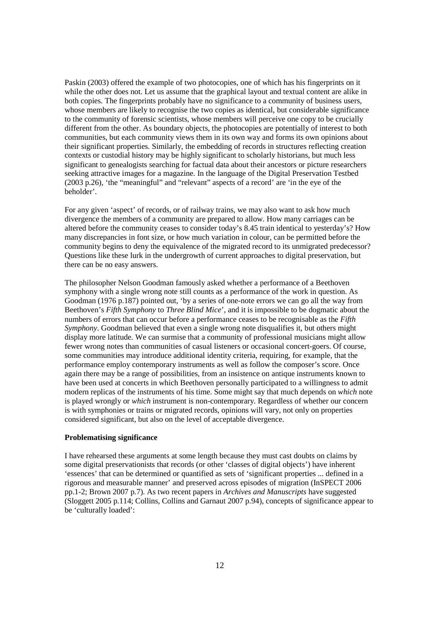Paskin (2003) offered the example of two photocopies, one of which has his fingerprints on it while the other does not. Let us assume that the graphical layout and textual content are alike in both copies. The fingerprints probably have no significance to a community of business users, whose members are likely to recognise the two copies as identical, but considerable significance to the community of forensic scientists, whose members will perceive one copy to be crucially different from the other. As boundary objects, the photocopies are potentially of interest to both communities, but each community views them in its own way and forms its own opinions about their significant properties. Similarly, the embedding of records in structures reflecting creation contexts or custodial history may be highly significant to scholarly historians, but much less significant to genealogists searching for factual data about their ancestors or picture researchers seeking attractive images for a magazine. In the language of the Digital Preservation Testbed (2003 p.26), 'the "meaningful" and "relevant" aspects of a record' are 'in the eye of the beholder'.

For any given 'aspect' of records, or of railway trains, we may also want to ask how much divergence the members of a community are prepared to allow. How many carriages can be altered before the community ceases to consider today's 8.45 train identical to yesterday's? How many discrepancies in font size, or how much variation in colour, can be permitted before the community begins to deny the equivalence of the migrated record to its unmigrated predecessor? Questions like these lurk in the undergrowth of current approaches to digital preservation, but there can be no easy answers.

The philosopher Nelson Goodman famously asked whether a performance of a Beethoven symphony with a single wrong note still counts as a performance of the work in question. As Goodman (1976 p.187) pointed out, 'by a series of one-note errors we can go all the way from Beethoven's *Fifth Symphony* to *Three Blind Mice*', and it is impossible to be dogmatic about the numbers of errors that can occur before a performance ceases to be recognisable as the *Fifth Symphony*. Goodman believed that even a single wrong note disqualifies it, but others might display more latitude. We can surmise that a community of professional musicians might allow fewer wrong notes than communities of casual listeners or occasional concert-goers. Of course, some communities may introduce additional identity criteria, requiring, for example, that the performance employ contemporary instruments as well as follow the composer's score. Once again there may be a range of possibilities, from an insistence on antique instruments known to have been used at concerts in which Beethoven personally participated to a willingness to admit modern replicas of the instruments of his time. Some might say that much depends on *which* note is played wrongly or *which* instrument is non-contemporary. Regardless of whether our concern is with symphonies or trains or migrated records, opinions will vary, not only on properties considered significant, but also on the level of acceptable divergence.

### **Problematising significance**

I have rehearsed these arguments at some length because they must cast doubts on claims by some digital preservationists that records (or other 'classes of digital objects') have inherent 'essences' that can be determined or quantified as sets of 'significant properties ... defined in a rigorous and measurable manner' and preserved across episodes of migration (InSPECT 2006 pp.1-2; Brown 2007 p.7). As two recent papers in *Archives and Manuscripts* have suggested (Sloggett 2005 p.114; Collins, Collins and Garnaut 2007 p.94), concepts of significance appear to be 'culturally loaded':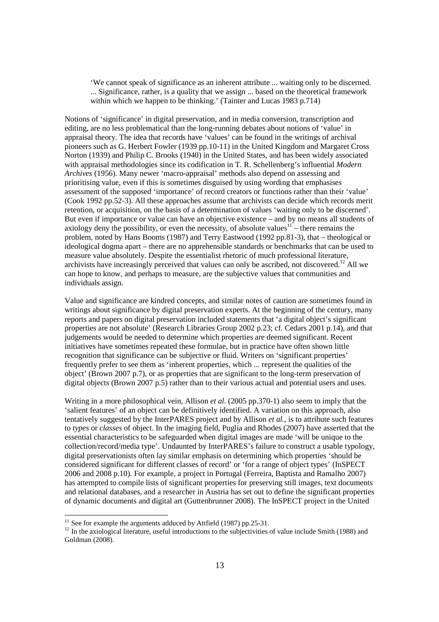'We cannot speak of significance as an inherent attribute ... waiting only to be discerned. ... Significance, rather, is a quality that we assign ... based on the theoretical framework within which we happen to be thinking.' (Tainter and Lucas 1983 p.714)

Notions of 'significance' in digital preservation, and in media conversion, transcription and editing, are no less problematical than the long-running debates about notions of 'value' in appraisal theory. The idea that records have 'values' can be found in the writings of archival pioneers such as G. Herbert Fowler (1939 pp.10-11) in the United Kingdom and Margaret Cross Norton (1939) and Philip C. Brooks (1940) in the United States, and has been widely associated with appraisal methodologies since its codification in T. R. Schellenberg's influential *Modern Archives* (1956). Many newer 'macro-appraisal' methods also depend on assessing and prioritising value, even if this is sometimes disguised by using wording that emphasises assessment of the supposed 'importance' of record creators or functions rather than their 'value' (Cook 1992 pp.52-3). All these approaches assume that archivists can decide which records merit retention, or acquisition, on the basis of a determination of values 'waiting only to be discerned'. But even if importance or value can have an objective existence – and by no means all students of axiology deny the possibility, or even the necessity, of absolute values $1 - 1$  there remains the problem, noted by Hans Booms (1987) and Terry Eastwood (1992 pp.81-3), that – theological or ideological dogma apart – there are no apprehensible standards or benchmarks that can be used to measure value absolutely. Despite the essentialist rhetoric of much professional literature, archivists have increasingly perceived that values can only be ascribed, not discovered.<sup>12</sup> All we can hope to know, and perhaps to measure, are the subjective values that communities and individuals assign.

Value and significance are kindred concepts, and similar notes of caution are sometimes found in writings about significance by digital preservation experts. At the beginning of the century, many reports and papers on digital preservation included statements that 'a digital object's significant properties are not absolute' (Research Libraries Group 2002 p.23; cf. Cedars 2001 p.14), and that judgements would be needed to determine which properties are deemed significant. Recent initiatives have sometimes repeated these formulae, but in practice have often shown little recognition that significance can be subjective or fluid. Writers on 'significant properties' frequently prefer to see them as 'inherent properties, which ... represent the qualities of the object' (Brown 2007 p.7), or as properties that are significant to the long-term preservation of digital objects (Brown 2007 p.5) rather than to their various actual and potential users and uses.

Writing in a more philosophical vein, Allison *et al.* (2005 pp.370-1) also seem to imply that the 'salient features' of an object can be definitively identified. A variation on this approach, also tentatively suggested by the InterPARES project and by Allison *et al.*, is to attribute such features to *types* or *classes* of object. In the imaging field, Puglia and Rhodes (2007) have asserted that the essential characteristics to be safeguarded when digital images are made 'will be unique to the collection/record/media type'. Undaunted by InterPARES's failure to construct a usable typology, digital preservationists often lay similar emphasis on determining which properties 'should be considered significant for different classes of record' or 'for a range of object types' (InSPECT 2006 and 2008 p.10). For example, a project in Portugal (Ferreira, Baptista and Ramalho 2007) has attempted to compile lists of significant properties for preserving still images, text documents and relational databases, and a researcher in Austria has set out to define the significant properties of dynamic documents and digital art (Guttenbrunner 2008). The InSPECT project in the United

<sup>&</sup>lt;sup>11</sup> See for example the arguments adduced by Attfield (1987) pp.25-31.

<sup>&</sup>lt;sup>12</sup> In the axiological literature, useful introductions to the subjectivities of value include Smith (1988) and Goldman (2008).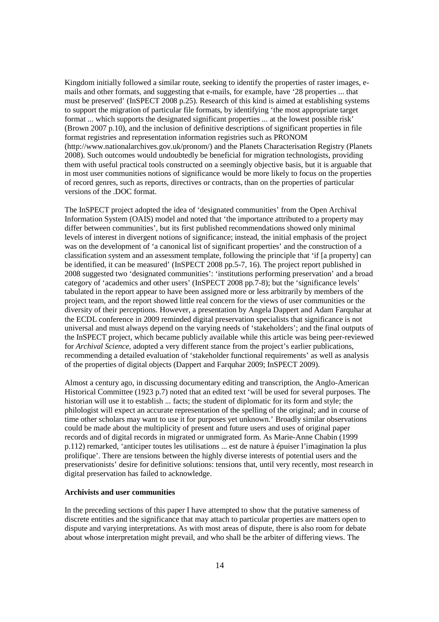Kingdom initially followed a similar route, seeking to identify the properties of raster images, emails and other formats, and suggesting that e-mails, for example, have '28 properties ... that must be preserved' (InSPECT 2008 p.25). Research of this kind is aimed at establishing systems to support the migration of particular file formats, by identifying 'the most appropriate target format ... which supports the designated significant properties ... at the lowest possible risk' (Brown 2007 p.10), and the inclusion of definitive descriptions of significant properties in file format registries and representation information registries such as PRONOM (http://www.nationalarchives.gov.uk/pronom/) and the Planets Characterisation Registry (Planets 2008). Such outcomes would undoubtedly be beneficial for migration technologists, providing them with useful practical tools constructed on a seemingly objective basis, but it is arguable that in most user communities notions of significance would be more likely to focus on the properties of record genres, such as reports, directives or contracts, than on the properties of particular versions of the DOC format.

The InSPECT project adopted the idea of 'designated communities' from the Open Archival Information System (OAIS) model and noted that 'the importance attributed to a property may differ between communities', but its first published recommendations showed only minimal levels of interest in divergent notions of significance; instead, the initial emphasis of the project was on the development of 'a canonical list of significant properties' and the construction of a classification system and an assessment template, following the principle that 'if [a property] can be identified, it can be measured' (InSPECT 2008 pp.5-7, 16). The project report published in 2008 suggested two 'designated communities': 'institutions performing preservation' and a broad category of 'academics and other users' (InSPECT 2008 pp.7-8); but the 'significance levels' tabulated in the report appear to have been assigned more or less arbitrarily by members of the project team, and the report showed little real concern for the views of user communities or the diversity of their perceptions. However, a presentation by Angela Dappert and Adam Farquhar at the ECDL conference in 2009 reminded digital preservation specialists that significance is not universal and must always depend on the varying needs of 'stakeholders'; and the final outputs of the InSPECT project, which became publicly available while this article was being peer-reviewed for *Archival Science*, adopted a very different stance from the project's earlier publications, recommending a detailed evaluation of 'stakeholder functional requirements' as well as analysis of the properties of digital objects (Dappert and Farquhar 2009; InSPECT 2009).

Almost a century ago, in discussing documentary editing and transcription, the Anglo-American Historical Committee (1923 p.7) noted that an edited text 'will be used for several purposes. The historian will use it to establish ... facts; the student of diplomatic for its form and style; the philologist will expect an accurate representation of the spelling of the original; and in course of time other scholars may want to use it for purposes yet unknown.' Broadly similar observations could be made about the multiplicity of present and future users and uses of original paper records and of digital records in migrated or unmigrated form. As Marie-Anne Chabin (1999 p.112) remarked, 'anticiper toutes les utilisations ... est de nature à épuiser l'imagination la plus prolifique'. There are tensions between the highly diverse interests of potential users and the preservationists' desire for definitive solutions: tensions that, until very recently, most research in digital preservation has failed to acknowledge.

# **Archivists and user communities**

In the preceding sections of this paper I have attempted to show that the putative sameness of discrete entities and the significance that may attach to particular properties are matters open to dispute and varying interpretations. As with most areas of dispute, there is also room for debate about whose interpretation might prevail, and who shall be the arbiter of differing views. The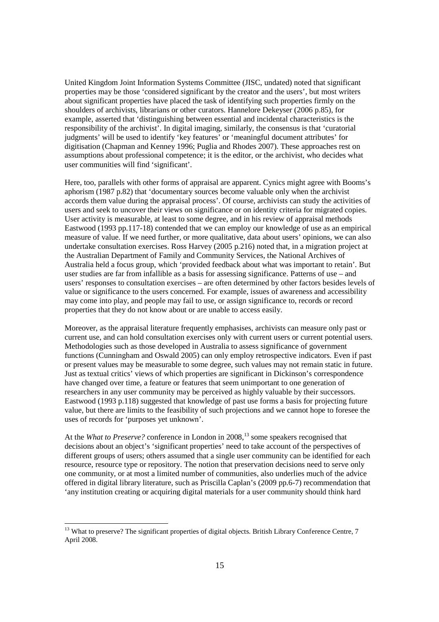United Kingdom Joint Information Systems Committee (JISC, undated) noted that significant properties may be those 'considered significant by the creator and the users', but most writers about significant properties have placed the task of identifying such properties firmly on the shoulders of archivists, librarians or other curators. Hannelore Dekeyser (2006 p.85), for example, asserted that 'distinguishing between essential and incidental characteristics is the responsibility of the archivist'. In digital imaging, similarly, the consensus is that 'curatorial judgments' will be used to identify 'key features' or 'meaningful document attributes' for digitisation (Chapman and Kenney 1996; Puglia and Rhodes 2007). These approaches rest on assumptions about professional competence; it is the editor, or the archivist, who decides what user communities will find 'significant'.

Here, too, parallels with other forms of appraisal are apparent. Cynics might agree with Booms's aphorism (1987 p.82) that 'documentary sources become valuable only when the archivist accords them value during the appraisal process'. Of course, archivists can study the activities of users and seek to uncover their views on significance or on identity criteria for migrated copies. User activity is measurable, at least to some degree, and in his review of appraisal methods Eastwood (1993 pp.117-18) contended that we can employ our knowledge of use as an empirical measure of value. If we need further, or more qualitative, data about users' opinions, we can also undertake consultation exercises. Ross Harvey (2005 p.216) noted that, in a migration project at the Australian Department of Family and Community Services, the National Archives of Australia held a focus group, which 'provided feedback about what was important to retain'. But user studies are far from infallible as a basis for assessing significance. Patterns of use – and users' responses to consultation exercises – are often determined by other factors besides levels of value or significance to the users concerned. For example, issues of awareness and accessibility may come into play, and people may fail to use, or assign significance to, records or record properties that they do not know about or are unable to access easily.

Moreover, as the appraisal literature frequently emphasises, archivists can measure only past or current use, and can hold consultation exercises only with current users or current potential users. Methodologies such as those developed in Australia to assess significance of government functions (Cunningham and Oswald 2005) can only employ retrospective indicators. Even if past or present values may be measurable to some degree, such values may not remain static in future. Just as textual critics' views of which properties are significant in Dickinson's correspondence have changed over time, a feature or features that seem unimportant to one generation of researchers in any user community may be perceived as highly valuable by their successors. Eastwood (1993 p.118) suggested that knowledge of past use forms a basis for projecting future value, but there are limits to the feasibility of such projections and we cannot hope to foresee the uses of records for 'purposes yet unknown'.

At the *What to Preserve?* conference in London in 2008, <sup>13</sup> some speakers recognised that decisions about an object's 'significant properties' need to take account of the perspectives of different groups of users; others assumed that a single user community can be identified for each resource, resource type or repository. The notion that preservation decisions need to serve only one community, or at most a limited number of communities, also underlies much of the advice offered in digital library literature, such as Priscilla Caplan's (2009 pp.6-7) recommendation that 'any institution creating or acquiring digital materials for a user community should think hard

<sup>&</sup>lt;sup>13</sup> What to preserve? The significant properties of digital objects. British Library Conference Centre, 7 April 2008.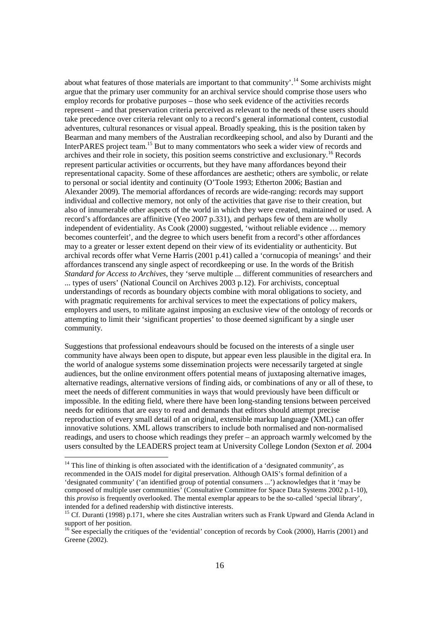about what features of those materials are important to that community'.<sup>14</sup> Some archivists might argue that the primary user community for an archival service should comprise those users who employ records for probative purposes – those who seek evidence of the activities records represent – and that preservation criteria perceived as relevant to the needs of these users should take precedence over criteria relevant only to a record's general informational content, custodial adventures, cultural resonances or visual appeal. Broadly speaking, this is the position taken by Bearman and many members of the Australian recordkeeping school, and also by Duranti and the InterPARES project team.<sup>15</sup> But to many commentators who seek a wider view of records and archives and their role in society, this position seems constrictive and exclusionary.<sup>16</sup> Records represent particular activities or occurrents*,* but they have many affordances beyond their representational capacity. Some of these affordances are aesthetic; others are symbolic, or relate to personal or social identity and continuity (O'Toole 1993; Etherton 2006; Bastian and Alexander 2009). The memorial affordances of records are wide-ranging: records may support individual and collective memory, not only of the activities that gave rise to their creation, but also of innumerable other aspects of the world in which they were created, maintained or used. A record's affordances are affinitive (Yeo 2007 p.331), and perhaps few of them are wholly independent of evidentiality. As Cook (2000) suggested, 'without reliable evidence … memory becomes counterfeit', and the degree to which users benefit from a record's other affordances may to a greater or lesser extent depend on their view of its evidentiality or authenticity. But archival records offer what Verne Harris (2001 p.41) called a 'cornucopia of meanings' and their affordances transcend any single aspect of recordkeeping or use. In the words of the British *Standard for Access to Archives*, they 'serve multiple ... different communities of researchers and ... types of users' (National Council on Archives 2003 p.12). For archivists, conceptual understandings of records as boundary objects combine with moral obligations to society, and with pragmatic requirements for archival services to meet the expectations of policy makers, employers and users, to militate against imposing an exclusive view of the ontology of records or attempting to limit their 'significant properties' to those deemed significant by a single user community.

Suggestions that professional endeavours should be focused on the interests of a single user community have always been open to dispute, but appear even less plausible in the digital era. In the world of analogue systems some dissemination projects were necessarily targeted at single audiences, but the online environment offers potential means of juxtaposing alternative images, alternative readings, alternative versions of finding aids, or combinations of any or all of these, to meet the needs of different communities in ways that would previously have been difficult or impossible. In the editing field, where there have been long-standing tensions between perceived needs for editions that are easy to read and demands that editors should attempt precise reproduction of every small detail of an original, extensible markup language (XML) can offer innovative solutions. XML allows transcribers to include both normalised and non-normalised readings, and users to choose which readings they prefer – an approach warmly welcomed by the users consulted by the LEADERS project team at University College London (Sexton *et al.* 2004

<sup>&</sup>lt;sup>14</sup> This line of thinking is often associated with the identification of a 'designated community', as recommended in the OAIS model for digital preservation. Although OAIS's formal definition of a 'designated community' ('an identified group of potential consumers ...') acknowledges that it 'may be composed of multiple user communities' (Consultative Committee for Space Data Systems 2002 p.1-10), this *proviso* is frequently overlooked. The mental exemplar appears to be the so-called 'special library', intended for a defined readership with distinctive interests.

<sup>&</sup>lt;sup>15</sup> Cf. Duranti (1998) p.171, where she cites Australian writers such as Frank Upward and Glenda Acland in support of her position.

 $^{16}$  See especially the critiques of the 'evidential' conception of records by Cook (2000), Harris (2001) and Greene (2002).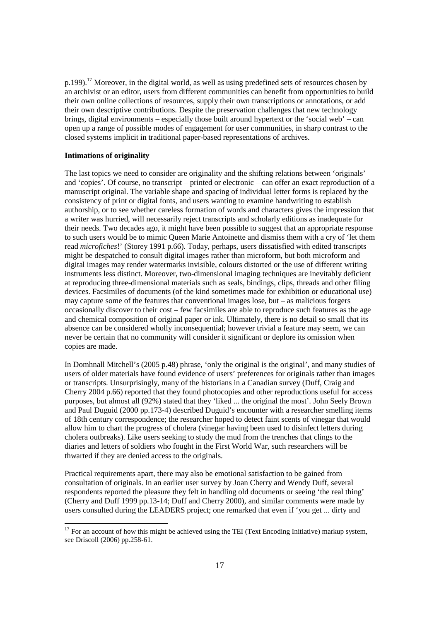p.199).<sup>17</sup> Moreover, in the digital world, as well as using predefined sets of resources chosen by an archivist or an editor, users from different communities can benefit from opportunities to build their own online collections of resources, supply their own transcriptions or annotations, or add their own descriptive contributions. Despite the preservation challenges that new technology brings, digital environments – especially those built around hypertext or the 'social web' – can open up a range of possible modes of engagement for user communities, in sharp contrast to the closed systems implicit in traditional paper-based representations of archives.

## **Intimations of originality**

The last topics we need to consider are originality and the shifting relations between 'originals' and 'copies'. Of course, no transcript – printed or electronic – can offer an exact reproduction of a manuscript original. The variable shape and spacing of individual letter forms is replaced by the consistency of print or digital fonts, and users wanting to examine handwriting to establish authorship, or to see whether careless formation of words and characters gives the impression that a writer was hurried, will necessarily reject transcripts and scholarly editions as inadequate for their needs. Two decades ago, it might have been possible to suggest that an appropriate response to such users would be to mimic Queen Marie Antoinette and dismiss them with a cry of 'let them read *microfiches*!' (Storey 1991 p.66). Today, perhaps, users dissatisfied with edited transcripts might be despatched to consult digital images rather than microform, but both microform and digital images may render watermarks invisible, colours distorted or the use of different writing instruments less distinct. Moreover, two-dimensional imaging techniques are inevitably deficient at reproducing three-dimensional materials such as seals, bindings, clips, threads and other filing devices. Facsimiles of documents (of the kind sometimes made for exhibition or educational use) may capture some of the features that conventional images lose, but – as malicious forgers occasionally discover to their cost – few facsimiles are able to reproduce such features as the age and chemical composition of original paper or ink. Ultimately, there is no detail so small that its absence can be considered wholly inconsequential; however trivial a feature may seem, we can never be certain that no community will consider it significant or deplore its omission when copies are made.

In Domhnall Mitchell's (2005 p.48) phrase, 'only the original is the original', and many studies of users of older materials have found evidence of users' preferences for originals rather than images or transcripts. Unsurprisingly, many of the historians in a Canadian survey (Duff, Craig and Cherry 2004 p.66) reported that they found photocopies and other reproductions useful for access purposes, but almost all (92%) stated that they 'liked ... the original the most'. John Seely Brown and Paul Duguid (2000 pp.173-4) described Duguid's encounter with a researcher smelling items of 18th century correspondence; the researcher hoped to detect faint scents of vinegar that would allow him to chart the progress of cholera (vinegar having been used to disinfect letters during cholera outbreaks). Like users seeking to study the mud from the trenches that clings to the diaries and letters of soldiers who fought in the First World War, such researchers will be thwarted if they are denied access to the originals.

Practical requirements apart, there may also be emotional satisfaction to be gained from consultation of originals. In an earlier user survey by Joan Cherry and Wendy Duff, several respondents reported the pleasure they felt in handling old documents or seeing 'the real thing' (Cherry and Duff 1999 pp.13-14; Duff and Cherry 2000), and similar comments were made by users consulted during the LEADERS project; one remarked that even if 'you get ... dirty and

<sup>&</sup>lt;sup>17</sup> For an account of how this might be achieved using the TEI (Text Encoding Initiative) markup system, see Driscoll (2006) pp.258-61.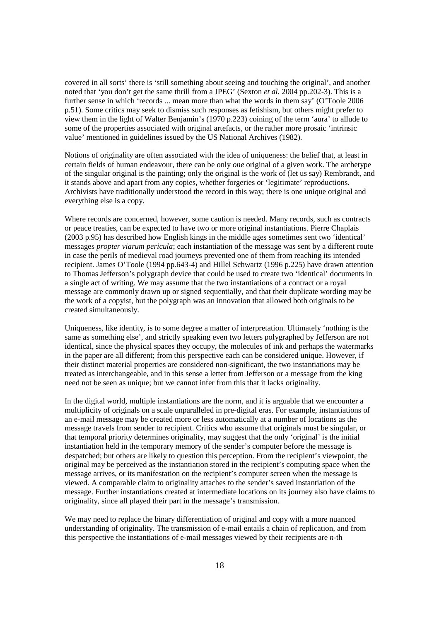covered in all sorts' there is 'still something about seeing and touching the original', and another noted that 'you don't get the same thrill from a JPEG' (Sexton *et al*. 2004 pp.202-3). This is a further sense in which 'records ... mean more than what the words in them say' (O'Toole 2006) p.51). Some critics may seek to dismiss such responses as fetishism, but others might prefer to view them in the light of Walter Benjamin's (1970 p.223) coining of the term 'aura' to allude to some of the properties associated with original artefacts, or the rather more prosaic 'intrinsic value' mentioned in guidelines issued by the US National Archives (1982).

Notions of originality are often associated with the idea of uniqueness: the belief that, at least in certain fields of human endeavour, there can be only *one* original of a given work. The archetype of the singular original is the painting; only the original is the work of (let us say) Rembrandt, and it stands above and apart from any copies, whether forgeries or 'legitimate' reproductions. Archivists have traditionally understood the record in this way; there is one unique original and everything else is a copy.

Where records are concerned, however, some caution is needed. Many records, such as contracts or peace treaties, can be expected to have two or more original instantiations. Pierre Chaplais (2003 p.95) has described how English kings in the middle ages sometimes sent two 'identical' messages *propter viarum pericula*; each instantiation of the message was sent by a different route in case the perils of medieval road journeys prevented one of them from reaching its intended recipient. James O'Toole (1994 pp.643-4) and Hillel Schwartz (1996 p.225) have drawn attention to Thomas Jefferson's polygraph device that could be used to create two 'identical' documents in a single act of writing. We may assume that the two instantiations of a contract or a royal message are commonly drawn up or signed sequentially, and that their duplicate wording may be the work of a copyist, but the polygraph was an innovation that allowed both originals to be created simultaneously.

Uniqueness, like identity, is to some degree a matter of interpretation. Ultimately 'nothing is the same as something else', and strictly speaking even two letters polygraphed by Jefferson are not identical, since the physical spaces they occupy, the molecules of ink and perhaps the watermarks in the paper are all different; from this perspective each can be considered unique. However, if their distinct material properties are considered non-significant, the two instantiations may be treated as interchangeable, and in this sense a letter from Jefferson or a message from the king need not be seen as unique; but we cannot infer from this that it lacks originality.

In the digital world, multiple instantiations are the norm, and it is arguable that we encounter a multiplicity of originals on a scale unparalleled in pre-digital eras. For example, instantiations of an e-mail message may be created more or less automatically at a number of locations as the message travels from sender to recipient. Critics who assume that originals must be singular, or that temporal priority determines originality, may suggest that the only 'original' is the initial instantiation held in the temporary memory of the sender's computer before the message is despatched; but others are likely to question this perception. From the recipient's viewpoint, the original may be perceived as the instantiation stored in the recipient's computing space when the message arrives, or its manifestation on the recipient's computer screen when the message is viewed. A comparable claim to originality attaches to the sender's saved instantiation of the message. Further instantiations created at intermediate locations on its journey also have claims to originality, since all played their part in the message's transmission.

We may need to replace the binary differentiation of original and copy with a more nuanced understanding of originality. The transmission of e-mail entails a chain of replication, and from this perspective the instantiations of e-mail messages viewed by their recipients are *n*-th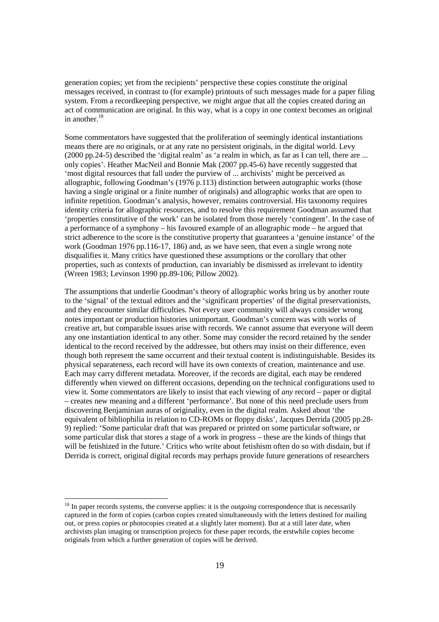generation copies; yet from the recipients' perspective these copies constitute the original messages received, in contrast to (for example) printouts of such messages made for a paper filing system. From a recordkeeping perspective, we might argue that all the copies created during an act of communication are original. In this way, what is a copy in one context becomes an original in another.<sup>18</sup>

Some commentators have suggested that the proliferation of seemingly identical instantiations means there are *no* originals, or at any rate no persistent originals, in the digital world. Levy (2000 pp.24-5) described the 'digital realm' as 'a realm in which, as far as I can tell, there are ... only copies'. Heather MacNeil and Bonnie Mak (2007 pp.45-6) have recently suggested that 'most digital resources that fall under the purview of ... archivists' might be perceived as allographic, following Goodman's (1976 p.113) distinction between autographic works (those having a single original or a finite number of originals) and allographic works that are open to infinite repetition. Goodman's analysis, however, remains controversial. His taxonomy requires identity criteria for allographic resources, and to resolve this requirement Goodman assumed that 'properties constitutive of the work' can be isolated from those merely 'contingent'. In the case of a performance of a symphony – his favoured example of an allographic mode – he argued that strict adherence to the score is the constitutive property that guarantees a 'genuine instance' of the work (Goodman 1976 pp.116-17, 186) and, as we have seen, that even a single wrong note disqualifies it. Many critics have questioned these assumptions or the corollary that other properties, such as contexts of production, can invariably be dismissed as irrelevant to identity (Wreen 1983; Levinson 1990 pp.89-106; Pillow 2002).

The assumptions that underlie Goodman's theory of allographic works bring us by another route to the 'signal' of the textual editors and the 'significant properties' of the digital preservationists, and they encounter similar difficulties. Not every user community will always consider wrong notes important or production histories unimportant. Goodman's concern was with works of creative art, but comparable issues arise with records. We cannot assume that everyone will deem any one instantiation identical to any other. Some may consider the record retained by the sender identical to the record received by the addressee, but others may insist on their difference, even though both represent the same occurrent and their textual content is indistinguishable. Besides its physical separateness, each record will have its own contexts of creation, maintenance and use. Each may carry different metadata. Moreover, if the records are digital, each may be rendered differently when viewed on different occasions, depending on the technical configurations used to view it. Some commentators are likely to insist that each viewing of *any* record – paper or digital – creates new meaning and a different 'performance'. But none of this need preclude users from discovering Benjaminian auras of originality, even in the digital realm. Asked about 'the equivalent of bibliophilia in relation to CD-ROMs or floppy disks', Jacques Derrida (2005 pp.28- 9) replied: 'Some particular draft that was prepared or printed on some particular software, or some particular disk that stores a stage of a work in progress – these are the kinds of things that will be fetishized in the future.' Critics who write about fetishism often do so with disdain, but if Derrida is correct, original digital records may perhaps provide future generations of researchers

<sup>&</sup>lt;sup>18</sup> In paper records systems, the converse applies: it is the *outgoing* correspondence that is necessarily captured in the form of copies (carbon copies created simultaneously with the letters destined for mailing out, or press copies or photocopies created at a slightly later moment). But at a still later date, when archivists plan imaging or transcription projects for these paper records, the erstwhile copies become originals from which a further generation of copies will be derived.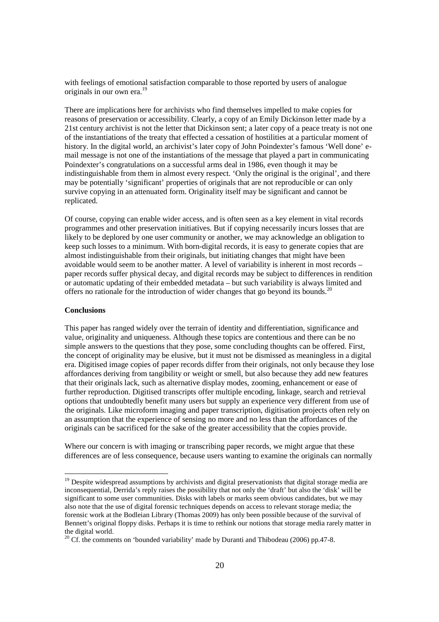with feelings of emotional satisfaction comparable to those reported by users of analogue originals in our own era.<sup>19</sup>

There are implications here for archivists who find themselves impelled to make copies for reasons of preservation or accessibility. Clearly, a copy of an Emily Dickinson letter made by a 21st century archivist is not the letter that Dickinson sent; a later copy of a peace treaty is not one of the instantiations of the treaty that effected a cessation of hostilities at a particular moment of history. In the digital world, an archivist's later copy of John Poindexter's famous 'Well done' email message is not one of the instantiations of the message that played a part in communicating Poindexter's congratulations on a successful arms deal in 1986, even though it may be indistinguishable from them in almost every respect. 'Only the original is the original', and there may be potentially 'significant' properties of originals that are not reproducible or can only survive copying in an attenuated form. Originality itself may be significant and cannot be replicated.

Of course, copying can enable wider access, and is often seen as a key element in vital records programmes and other preservation initiatives. But if copying necessarily incurs losses that are likely to be deplored by one user community or another, we may acknowledge an obligation to keep such losses to a minimum. With born-digital records, it is easy to generate copies that are almost indistinguishable from their originals, but initiating changes that might have been avoidable would seem to be another matter. A level of variability is inherent in most records – paper records suffer physical decay, and digital records may be subject to differences in rendition or automatic updating of their embedded metadata – but such variability is always limited and offers no rationale for the introduction of wider changes that go beyond its bounds.<sup>20</sup>

## **Conclusions**

This paper has ranged widely over the terrain of identity and differentiation, significance and value, originality and uniqueness. Although these topics are contentious and there can be no simple answers to the questions that they pose, some concluding thoughts can be offered. First, the concept of originality may be elusive, but it must not be dismissed as meaningless in a digital era. Digitised image copies of paper records differ from their originals, not only because they lose affordances deriving from tangibility or weight or smell, but also because they add new features that their originals lack, such as alternative display modes, zooming, enhancement or ease of further reproduction. Digitised transcripts offer multiple encoding, linkage, search and retrieval options that undoubtedly benefit many users but supply an experience very different from use of the originals. Like microform imaging and paper transcription, digitisation projects often rely on an assumption that the experience of sensing no more and no less than the affordances of the originals can be sacrificed for the sake of the greater accessibility that the copies provide.

Where our concern is with imaging or transcribing paper records, we might argue that these differences are of less consequence, because users wanting to examine the originals can normally

 $19$  Despite widespread assumptions by archivists and digital preservationists that digital storage media are inconsequential, Derrida's reply raises the possibility that not only the 'draft' but also the 'disk' will be significant to some user communities. Disks with labels or marks seem obvious candidates, but we may also note that the use of digital forensic techniques depends on access to relevant storage media; the forensic work at the Bodleian Library (Thomas 2009) has only been possible because of the survival of Bennett's original floppy disks. Perhaps it is time to rethink our notions that storage media rarely matter in the digital world.

<sup>&</sup>lt;sup>20</sup> Cf. the comments on 'bounded variability' made by Duranti and Thibodeau (2006) pp.47-8.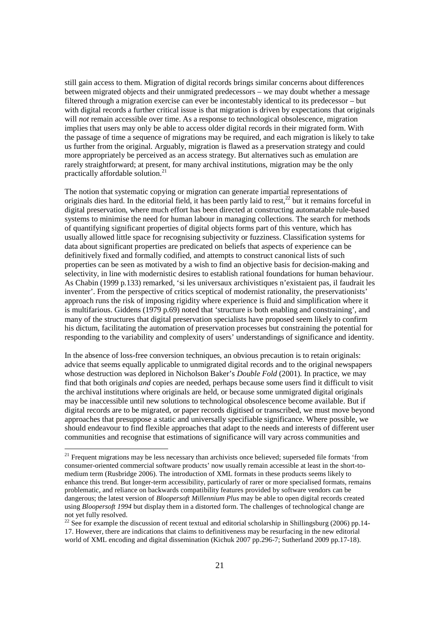still gain access to them. Migration of digital records brings similar concerns about differences between migrated objects and their unmigrated predecessors – we may doubt whether a message filtered through a migration exercise can ever be incontestably identical to its predecessor – but with digital records a further critical issue is that migration is driven by expectations that originals will *not* remain accessible over time. As a response to technological obsolescence, migration implies that users may only be able to access older digital records in their migrated form. With the passage of time a sequence of migrations may be required, and each migration is likely to take us further from the original. Arguably, migration is flawed as a preservation strategy and could more appropriately be perceived as an access strategy. But alternatives such as emulation are rarely straightforward; at present, for many archival institutions, migration may be the only practically affordable solution.<sup>21</sup>

The notion that systematic copying or migration can generate impartial representations of originals dies hard. In the editorial field, it has been partly laid to rest,  $^{22}$  but it remains forceful in digital preservation, where much effort has been directed at constructing automatable rule-based systems to minimise the need for human labour in managing collections. The search for methods of quantifying significant properties of digital objects forms part of this venture, which has usually allowed little space for recognising subjectivity or fuzziness. Classification systems for data about significant properties are predicated on beliefs that aspects of experience can be definitively fixed and formally codified, and attempts to construct canonical lists of such properties can be seen as motivated by a wish to find an objective basis for decision-making and selectivity, in line with modernistic desires to establish rational foundations for human behaviour. As Chabin (1999 p.133) remarked, 'si les universaux archivistiques n'existaient pas, il faudrait les inventer'. From the perspective of critics sceptical of modernist rationality, the preservationists' approach runs the risk of imposing rigidity where experience is fluid and simplification where it is multifarious. Giddens (1979 p.69) noted that 'structure is both enabling and constraining', and many of the structures that digital preservation specialists have proposed seem likely to confirm his dictum, facilitating the automation of preservation processes but constraining the potential for responding to the variability and complexity of users' understandings of significance and identity.

In the absence of loss-free conversion techniques, an obvious precaution is to retain originals: advice that seems equally applicable to unmigrated digital records and to the original newspapers whose destruction was deplored in Nicholson Baker's *Double Fold* (2001). In practice, we may find that both originals *and* copies are needed, perhaps because some users find it difficult to visit the archival institutions where originals are held, or because some unmigrated digital originals may be inaccessible until new solutions to technological obsolescence become available. But if digital records are to be migrated, or paper records digitised or transcribed, we must move beyond approaches that presuppose a static and universally specifiable significance. Where possible, we should endeavour to find flexible approaches that adapt to the needs and interests of different user communities and recognise that estimations of significance will vary across communities and

<sup>&</sup>lt;sup>21</sup> Frequent migrations may be less necessary than archivists once believed; superseded file formats 'from consumer-oriented commercial software products' now usually remain accessible at least in the short-tomedium term (Rusbridge 2006). The introduction of XML formats in these products seems likely to enhance this trend. But longer-term accessibility, particularly of rarer or more specialised formats, remains problematic, and reliance on backwards compatibility features provided by software vendors can be dangerous; the latest version of *Bloopersoft Millennium Plus* may be able to open digital records created using *Bloopersoft 1994* but display them in a distorted form. The challenges of technological change are not yet fully resolved.

<sup>&</sup>lt;sup>22</sup> See for example the discussion of recent textual and editorial scholarship in Shillingsburg (2006) pp.14-17. However, there are indications that claims to definitiveness may be resurfacing in the new editorial world of XML encoding and digital dissemination (Kichuk 2007 pp.296-7; Sutherland 2009 pp.17-18).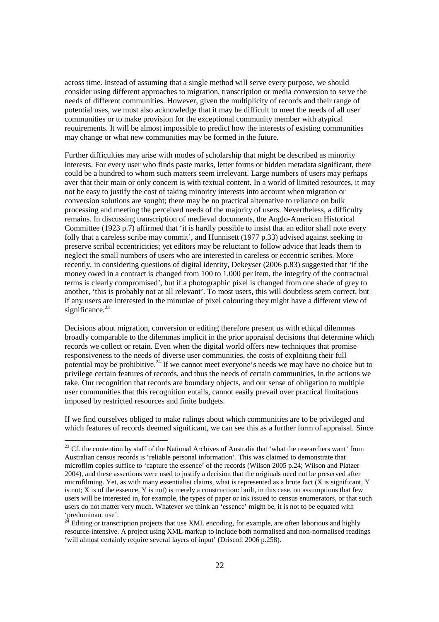across time. Instead of assuming that a single method will serve every purpose, we should consider using different approaches to migration, transcription or media conversion to serve the needs of different communities. However, given the multiplicity of records and their range of potential uses, we must also acknowledge that it may be difficult to meet the needs of all user communities or to make provision for the exceptional community member with atypical requirements. It will be almost impossible to predict how the interests of existing communities may change or what new communities may be formed in the future.

Further difficulties may arise with modes of scholarship that might be described as minority interests. For every user who finds paste marks, letter forms or hidden metadata significant, there could be a hundred to whom such matters seem irrelevant. Large numbers of users may perhaps aver that their main or only concern is with textual content. In a world of limited resources, it may not be easy to justify the cost of taking minority interests into account when migration or conversion solutions are sought; there may be no practical alternative to reliance on bulk processing and meeting the perceived needs of the majority of users. Nevertheless, a difficulty remains. In discussing transcription of medieval documents, the Anglo-American Historical Committee (1923 p.7) affirmed that 'it is hardly possible to insist that an editor shall note every folly that a careless scribe may commit', and Hunnisett (1977 p.33) advised against seeking to preserve scribal eccentricities; yet editors may be reluctant to follow advice that leads them to neglect the small numbers of users who are interested in careless or eccentric scribes. More recently, in considering questions of digital identity, Dekeyser (2006 p.83) suggested that 'if the money owed in a contract is changed from 100 to 1,000 per item, the integrity of the contractual terms is clearly compromised', but if a photographic pixel is changed from one shade of grey to another, 'this is probably not at all relevant'. To most users, this will doubtless seem correct, but if any users are interested in the minutiae of pixel colouring they might have a different view of significance. $^{23}$ 

Decisions about migration, conversion or editing therefore present us with ethical dilemmas broadly comparable to the dilemmas implicit in the prior appraisal decisions that determine which records we collect or retain. Even when the digital world offers new techniques that promise responsiveness to the needs of diverse user communities, the costs of exploiting their full potential may be prohibitive. <sup>24</sup> If we cannot meet everyone's needs we may have no choice but to privilege certain features of records, and thus the needs of certain communities, in the actions we take. Our recognition that records are boundary objects, and our sense of obligation to multiple user communities that this recognition entails, cannot easily prevail over practical limitations imposed by restricted resources and finite budgets.

If we find ourselves obliged to make rulings about which communities are to be privileged and which features of records deemed significant, we can see this as a further form of appraisal. Since

<sup>&</sup>lt;sup>23</sup> Cf. the contention by staff of the National Archives of Australia that 'what the researchers want' from Australian census records is 'reliable personal information'. This was claimed to demonstrate that microfilm copies suffice to 'capture the essence' of the records (Wilson 2005 p.24; Wilson and Platzer 2004), and these assertions were used to justify a decision that the originals need not be preserved after microfilming. Yet, as with many essentialist claims, what is represented as a brute fact  $(X$  is significant, Y is not; X is of the essence, Y is not) is merely a construction; built, in this case, on assumptions that few users will be interested in, for example, the types of paper or ink issued to census enumerators, or that such users do not matter very much. Whatever we think an 'essence' might be, it is not to be equated with  $\frac{1}{24}$  predominant use.

<sup>24</sup> Editing or transcription projects that use XML encoding, for example, are often laborious and highly resource-intensive. A project using XML markup to include both normalised and non-normalised readings 'will almost certainly require several layers of input' (Driscoll 2006 p.258).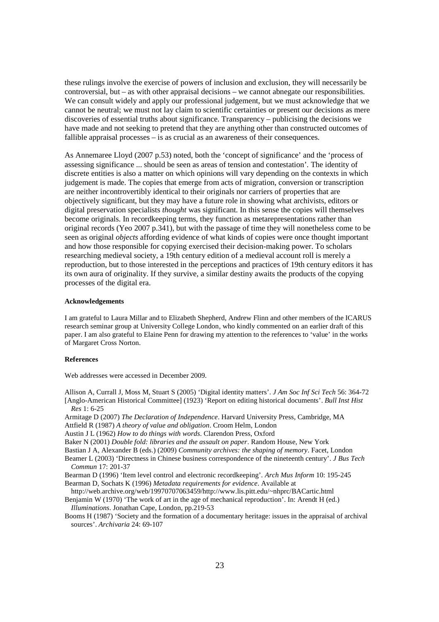these rulings involve the exercise of powers of inclusion and exclusion, they will necessarily be controversial, but – as with other appraisal decisions – we cannot abnegate our responsibilities. We can consult widely and apply our professional judgement, but we must acknowledge that we cannot be neutral; we must not lay claim to scientific certainties or present our decisions as mere discoveries of essential truths about significance. Transparency – publicising the decisions we have made and not seeking to pretend that they are anything other than constructed outcomes of fallible appraisal processes – is as crucial as an awareness of their consequences.

As Annemaree Lloyd (2007 p.53) noted, both the 'concept of significance' and the 'process of assessing significance ... should be seen as areas of tension and contestation'. The identity of discrete entities is also a matter on which opinions will vary depending on the contexts in which judgement is made. The copies that emerge from acts of migration, conversion or transcription are neither incontrovertibly identical to their originals nor carriers of properties that are objectively significant, but they may have a future role in showing what archivists, editors or digital preservation specialists *thought* was significant. In this sense the copies will themselves become originals. In recordkeeping terms, they function as metarepresentations rather than original records (Yeo 2007 p.341), but with the passage of time they will nonetheless come to be seen as original *objects* affording evidence of what kinds of copies were once thought important and how those responsible for copying exercised their decision-making power. To scholars researching medieval society, a 19th century edition of a medieval account roll is merely a reproduction, but to those interested in the perceptions and practices of 19th century editors it has its own aura of originality. If they survive, a similar destiny awaits the products of the copying processes of the digital era.

#### **Acknowledgements**

I am grateful to Laura Millar and to Elizabeth Shepherd, Andrew Flinn and other members of the ICARUS research seminar group at University College London, who kindly commented on an earlier draft of this paper. I am also grateful to Elaine Penn for drawing my attention to the references to 'value' in the works of Margaret Cross Norton.

### **References**

Web addresses were accessed in December 2009.

Allison A, Currall J, Moss M, Stuart S (2005) 'Digital identity matters'. *J Am Soc Inf Sci Tech* 56: 364-72 [Anglo-American Historical Committee] (1923) 'Report on editing historical documents'. *Bull Inst Hist Res* 1: 6-25

Armitage D (2007) *The Declaration of Independence*. Harvard University Press, Cambridge, MA Attfield R (1987) *A theory of value and obligation*. Croom Helm, London

Austin J L (1962) *How to do things with words*. Clarendon Press, Oxford

Baker N (2001) *Double fold: libraries and the assault on paper*. Random House, New York

Bastian J A, Alexander B (eds.) (2009) *Community archives: the shaping of memory*. Facet, London

Beamer L (2003) 'Directness in Chinese business correspondence of the nineteenth century'. *J Bus Tech Commun* 17: 201-37

Bearman D (1996) 'Item level control and electronic recordkeeping'. *Arch Mus Inform* 10: 195-245 Bearman D, Sochats K (1996) *Metadata requirements for evidence*. Available at

http://web.archive.org/web/19970707063459/http://www.lis.pitt.edu/~nhprc/BACartic.html Benjamin W (1970) 'The work of art in the age of mechanical reproduction'. In: Arendt H (ed.) *Illuminations*. Jonathan Cape, London, pp.219-53

Booms H (1987) 'Society and the formation of a documentary heritage: issues in the appraisal of archival sources'. *Archivaria* 24: 69-107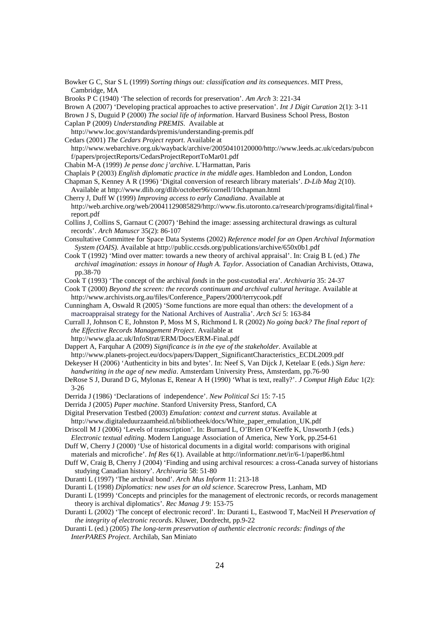- Bowker G C, Star S L (1999) *Sorting things out: classification and its consequences*. MIT Press, Cambridge, MA
- Brooks P C (1940) 'The selection of records for preservation'. *Am Arch* 3: 221-34

Brown A (2007) 'Developing practical approaches to active preservation'. *Int J Digit Curation* 2(1): 3-11

- Brown J S, Duguid P (2000) *The social life of information*. Harvard Business School Press, Boston
- Caplan P (2009) *Understanding PREMIS*. Available at
- http://www.loc.gov/standards/premis/understanding-premis.pdf
- Cedars (2001) *The Cedars Project report*. Available at
- http://www.webarchive.org.uk/wayback/archive/20050410120000/http://www.leeds.ac.uk/cedars/pubcon f/papers/projectReports/CedarsProjectReportToMar01.pdf
- Chabin M-A (1999) *Je pense donc j'archive*. L'Harmattan, Paris

Chaplais P (2003) *English diplomatic practice in the middle ages*. Hambledon and London, London

- Chapman S, Kenney A R (1996) 'Digital conversion of research library materials'. *D-Lib Mag* 2(10). Available at http://www.dlib.org/dlib/october96/cornell/10chapman.html
- Cherry J, Duff W (1999) *Improving access to early Canadiana*. Available at http://web.archive.org/web/20041129085829/http://www.fis.utoronto.ca/research/programs/digital/final+ report.pdf
- Collins J, Collins S, Garnaut C (2007) 'Behind the image: assessing architectural drawings as cultural records'. *Arch Manuscr* 35(2): 86-107
- Consultative Committee for Space Data Systems (2002) *Reference model for an Open Archival Information System (OAIS).* Available at http://public.ccsds.org/publications/archive/650x0b1.pdf
- Cook T (1992) 'Mind over matter: towards a new theory of archival appraisal'. In: Craig B L (ed.) *The archival imagination: essays in honour of Hugh A. Taylor*. Association of Canadian Archivists, Ottawa, pp.38-70

Cook T (1993) 'The concept of the archival *fonds* in the post-custodial era'. *Archivaria* 35: 24-37

- Cook T (2000) *Beyond the screen: the records continuum and archival cultural heritage*. Available at http://www.archivists.org.au/files/Conference\_Papers/2000/terrycook.pdf
- Cunningham A, Oswald R (2005) 'Some functions are more equal than others: the development of a macroappraisal strategy for the National Archives of Australia'. *Arch Sci* 5: 163-84

Currall J, Johnson C E, Johnston P, Moss M S, Richmond L R (2002) *No going back? The final report of the Effective Records Management Project*. Available at

http://www.gla.ac.uk/InfoStrat/ERM/Docs/ERM-Final.pdf

Dappert A, Farquhar A (2009) *Significance is in the eye of the stakeholder*. Available at

- http://www.planets-project.eu/docs/papers/Dappert\_SignificantCharacteristics\_ECDL2009.pdf
- Dekeyser H (2006) 'Authenticity in bits and bytes'. In: Neef S, Van Dijck J, Ketelaar E (eds.) *Sign here: handwriting in the age of new media*. Amsterdam University Press, Amsterdam, pp.76-90
- DeRose S J, Durand D G, Mylonas E, Renear A H (1990) 'What is text, really?'. *J Comput High Educ* 1(2): 3-26
- Derrida J (1986) 'Declarations of independence'. *New Political Sci* 15: 7-15
- Derrida J (2005) *Paper machine*. Stanford University Press, Stanford, CA
- Digital Preservation Testbed (2003) *Emulation: context and current status*. Available at
- http://www.digitaleduurzaamheid.nl/bibliotheek/docs/White\_paper\_emulation\_UK.pdf Driscoll M J (2006) 'Levels of transcription'. In: Burnard L, O'Brien O'Keeffe K, Unsworth J (eds.)
- *Electronic textual editing*. Modern Language Association of America, New York, pp.254-61
- Duff W, Cherry J (2000) 'Use of historical documents in a digital world: comparisons with original
- materials and microfiche'. *Inf Res* 6(1). Available at http://informationr.net/ir/6-1/paper86.html Duff W, Craig B, Cherry J (2004) 'Finding and using archival resources: a cross-Canada survey of historians
- studying Canadian history'. *Archivaria* 58: 51-80
- Duranti L (1997) 'The archival bond'. *Arch Mus Inform* 11: 213-18
- Duranti L (1998) *Diplomatics: new uses for an old science*. Scarecrow Press, Lanham, MD
- Duranti L (1999) 'Concepts and principles for the management of electronic records, or records management theory is archival diplomatics'. *Rec Manag J* 9: 153-75
- Duranti L (2002) 'The concept of electronic record'. In: Duranti L, Eastwood T, MacNeil H *Preservation of the integrity of electronic records*. Kluwer, Dordrecht, pp.9-22
- Duranti L (ed.) (2005) *The long-term preservation of authentic electronic records: findings of the InterPARES Project*. Archilab, San Miniato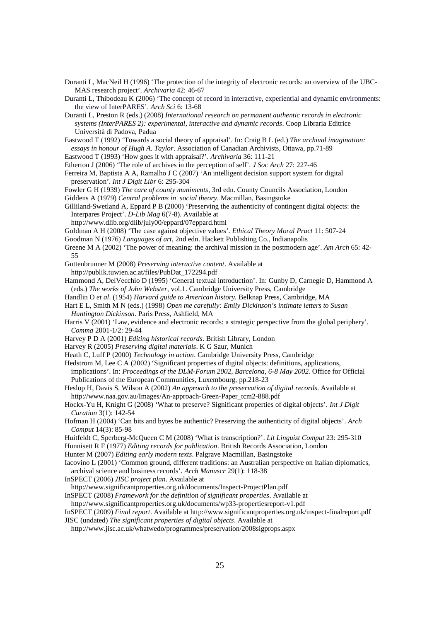- Duranti L, MacNeil H (1996) 'The protection of the integrity of electronic records: an overview of the UBC-MAS research project'. *Archivaria* 42: 46-67
- Duranti L, Thibodeau K (2006) 'The concept of record in interactive, experiential and dynamic environments: the view of InterPARES'. *Arch Sci* 6: 13-68
- Duranti L, Preston R (eds.) (2008) *International research on permanent authentic records in electronic systems (InterPARES 2): experimental, interactive and dynamic records*. Coop Libraria Editrice Università di Padova, Padua
- Eastwood T (1992) 'Towards a social theory of appraisal'. In: Craig B L (ed.) *The archival imagination: essays in honour of Hugh A. Taylor*. Association of Canadian Archivists, Ottawa, pp.71-89
- Eastwood T (1993) 'How goes it with appraisal?'. *Archivaria* 36: 111-21
- Etherton J (2006) 'The role of archives in the perception of self'. *J Soc Arch* 27: 227-46
- Ferreira M, Baptista A A, Ramalho J C (2007) 'An intelligent decision support system for digital preservation'. *Int J Digit Libr* 6: 295-304
- Fowler G H (1939) *The care of county muniments*, 3rd edn. County Councils Association, London
- Giddens A (1979) *Central problems in social theory*. Macmillan, Basingstoke
- Gilliland-Swetland A, Eppard P B (2000) 'Preserving the authenticity of contingent digital objects: the Interpares Project'. *D-Lib Mag* 6(7-8). Available at
- http://www.dlib.org/dlib/july00/eppard/07eppard.html
- Goldman A H (2008) 'The case against objective values'. *Ethical Theory Moral Pract* 11: 507-24
- Goodman N (1976) *Languages of art*, 2nd edn. Hackett Publishing Co., Indianapolis
- Greene M A (2002) 'The power of meaning: the archival mission in the postmodern age'. *Am Arch* 65: 42- 55
- Guttenbrunner M (2008) *Preserving interactive content*. Available at
- http://publik.tuwien.ac.at/files/PubDat\_172294.pdf
- Hammond A, DelVecchio D (1995) 'General textual introduction'. In: Gunby D, Carnegie D, Hammond A (eds.) *The works of John Webster*, vol.1. Cambridge University Press, Cambridge
- Handlin O *et al*. (1954) *Harvard guide to American history.* Belknap Press, Cambridge, MA
- Hart E L, Smith M N (eds.) (1998) *Open me carefully: Emily Dickinson's intimate letters to Susan Huntington Dickinson*. Paris Press, Ashfield, MA
- Harris V (2001) 'Law, evidence and electronic records: a strategic perspective from the global periphery'. *Comma* 2001-1/2: 29-44
- Harvey P D A (2001) *Editing historical records*. British Library, London
- Harvey R (2005) *Preserving digital materials*. K G Saur, Munich
- Heath C, Luff P (2000) *Technology in action*. Cambridge University Press, Cambridge
- Hedstrom M, Lee C A (2002) 'Significant properties of digital objects: definitions, applications, implications'. In: *Proceedings of the DLM-Forum 2002, Barcelona, 6-8 May 2002.* Office for Official Publications of the European Communities, Luxembourg, pp.218-23
- Heslop H, Davis S, Wilson A (2002) *An approach to the preservation of digital records*. Available at http://www.naa.gov.au/Images/An-approach-Green-Paper\_tcm2-888.pdf
- Hockx-Yu H, Knight G (2008) 'What to preserve? Significant properties of digital objects'. *Int J Digit Curation* 3(1): 142-54
- Hofman H (2004) 'Can bits and bytes be authentic? Preserving the authenticity of digital objects'. *Arch Comput* 14(3): 85-98
- Huitfeldt C, Sperberg-McQueen C M (2008) 'What is transcription?'. *Lit Linguist Comput* 23: 295-310
- Hunnisett R F (1977) *Editing records for publication*. British Records Association, London
- Hunter M (2007) *Editing early modern texts*. Palgrave Macmillan, Basingstoke
- Iacovino L (2001) 'Common ground, different traditions: an Australian perspective on Italian diplomatics, archival science and business records'. *Arch Manuscr* 29(1): 118-38
- InSPECT (2006) *JISC project plan*. Available at
- http://www.significantproperties.org.uk/documents/Inspect-ProjectPlan.pdf
- InSPECT (2008) *Framework for the definition of significant properties*. Available at
- http://www.significantproperties.org.uk/documents/wp33-propertiesreport-v1.pdf
- InSPECT (2009) *Final report*. Available at http://www.significantproperties.org.uk/inspect-finalreport.pdf JISC (undated) *The significant properties of digital objects*. Available at
	- http://www.jisc.ac.uk/whatwedo/programmes/preservation/2008sigprops.aspx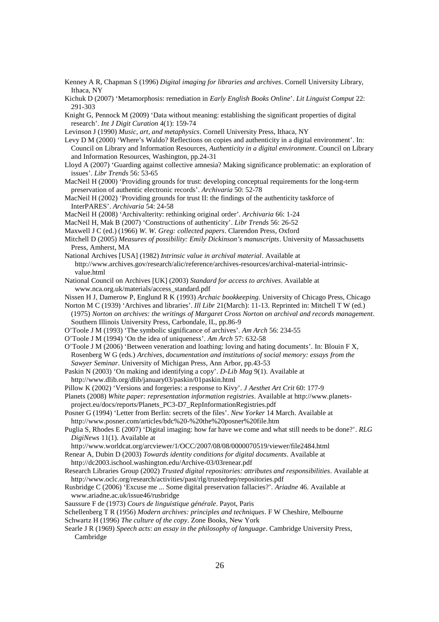- Kenney A R, Chapman S (1996) *Digital imaging for libraries and archives*. Cornell University Library, Ithaca, NY
- Kichuk D (2007) 'Metamorphosis: remediation in *Early English Books Online*'. *Lit Linguist Comput* 22: 291-303
- Knight G, Pennock M (2009) 'Data without meaning: establishing the significant properties of digital research'. *Int J Digit Curation* 4(1): 159-74
- Levinson J (1990) *Music, art, and metaphysics*. Cornell University Press, Ithaca, NY
- Levy D M (2000) 'Where's Waldo? Reflections on copies and authenticity in a digital environment'. In: Council on Library and Information Resources, *Authenticity in a digital environment*. Council on Library and Information Resources, Washington, pp.24-31
- Lloyd A (2007) 'Guarding against collective amnesia? Making significance problematic: an exploration of issues'. *Libr Trends* 56: 53-65
- MacNeil H (2000) 'Providing grounds for trust: developing conceptual requirements for the long-term preservation of authentic electronic records'. *Archivaria* 50: 52-78
- MacNeil H (2002) 'Providing grounds for trust II: the findings of the authenticity taskforce of InterPARES'. *Archivaria* 54: 24-58
- MacNeil H (2008) 'Archivalterity: rethinking original order'. *Archivaria* 66: 1-24
- MacNeil H, Mak B (2007) 'Constructions of authenticity'. *Libr Trends* 56: 26-52
- Maxwell J C (ed.) (1966) *W. W. Greg: collected papers*. Clarendon Press, Oxford
- Mitchell D (2005) *Measures of possibility: Emily Dickinson's manuscripts*. University of Massachusetts Press, Amherst, MA
- National Archives [USA] (1982) *Intrinsic value in archival material*. Available at http://www.archives.gov/research/alic/reference/archives-resources/archival-material-intrinsicvalue.html
- National Council on Archives [UK] (2003) *Standard for access to archives*. Available at www.nca.org.uk/materials/access\_standard.pdf
- Nissen H J, Damerow P, Englund R K (1993) *Archaic bookkeeping*. University of Chicago Press, Chicago
- Norton M C (1939) 'Archives and libraries'. *Ill Libr* 21(March): 11-13. Reprinted in: Mitchell T W (ed.) (1975) *Norton on archives: the writings of Margaret Cross Norton on archival and records management*. Southern Illinois University Press, Carbondale, IL, pp.86-9
- O'Toole J M (1993) 'The symbolic significance of archives'. *Am Arch* 56: 234-55
- O'Toole J M (1994) 'On the idea of uniqueness'. *Am Arch* 57: 632-58
- O'Toole J M (2006) 'Between veneration and loathing: loving and hating documents'. In: Blouin F X, Rosenberg W G (eds.) *Archives, documentation and institutions of social memory: essays from the Sawyer Seminar*. University of Michigan Press, Ann Arbor, pp.43-53
- Paskin N (2003) 'On making and identifying a copy'. *D-Lib Mag* 9(1). Available at http://www.dlib.org/dlib/january03/paskin/01paskin.html
- Pillow K (2002) 'Versions and forgeries: a response to Kivy'. *J Aesthet Art Crit* 60: 177-9
- Planets (2008) *White paper: representation information registries*. Available at http://www.planetsproject.eu/docs/reports/Planets\_PC3-D7\_RepInformationRegistries.pdf
- Posner G (1994) 'Letter from Berlin: secrets of the files'. *New Yorker* 14 March. Available at http://www.posner.com/articles/bdc%20-%20the%20posner%20file.htm
- Puglia S, Rhodes E (2007) 'Digital imaging: how far have we come and what still needs to be done?'. *RLG DigiNews* 11(1). Available at
- http://www.worldcat.org/arcviewer/1/OCC/2007/08/08/0000070519/viewer/file2484.html
- Renear A, Dubin D (2003) *Towards identity conditions for digital documents*. Available at
- http://dc2003.ischool.washington.edu/Archive-03/03renear.pdf
- Research Libraries Group (2002) *Trusted digital repositories: attributes and responsibilities*. Available at http://www.oclc.org/research/activities/past/rlg/trustedrep/repositories.pdf
- Rusbridge C (2006) 'Excuse me ... Some digital preservation fallacies?'. *Ariadne* 46. Available at www.ariadne.ac.uk/issue46/rusbridge
- Saussure F de (1973) *Cours de linguistique générale*. Payot, Paris
- Schellenberg T R (1956) *Modern archives: principles and techniques*. F W Cheshire, Melbourne
- Schwartz H (1996) *The culture of the copy*. Zone Books, New York
- Searle J R (1969) *Speech acts*: *an essay in the philosophy of language*. Cambridge University Press, Cambridge